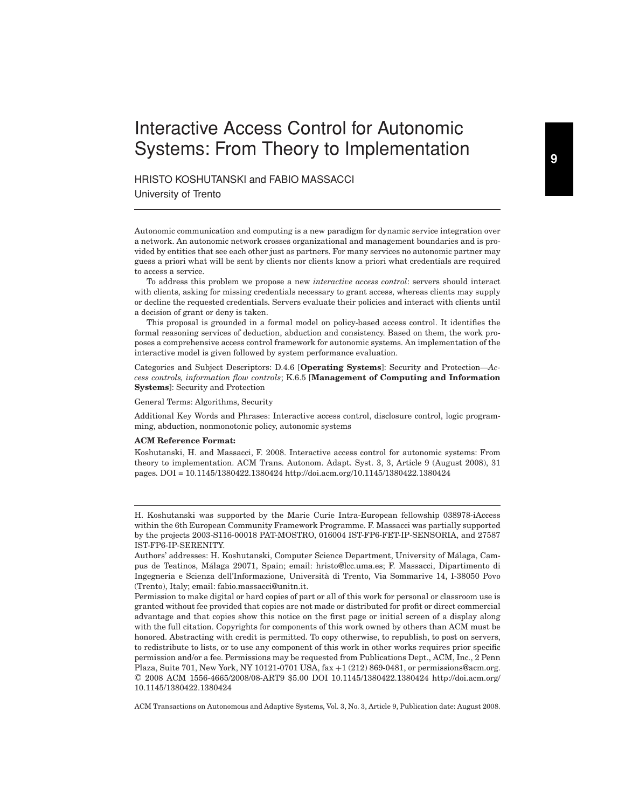# Interactive Access Control for Autonomic Systems: From Theory to Implementation

HRISTO KOSHUTANSKI and FABIO MASSACCI

University of Trento

Autonomic communication and computing is a new paradigm for dynamic service integration over a network. An autonomic network crosses organizational and management boundaries and is provided by entities that see each other just as partners. For many services no autonomic partner may guess a priori what will be sent by clients nor clients know a priori what credentials are required to access a service.

To address this problem we propose a new *interactive access control*: servers should interact with clients, asking for missing credentials necessary to grant access, whereas clients may supply or decline the requested credentials. Servers evaluate their policies and interact with clients until a decision of grant or deny is taken.

This proposal is grounded in a formal model on policy-based access control. It identifies the formal reasoning services of deduction, abduction and consistency. Based on them, the work proposes a comprehensive access control framework for autonomic systems. An implementation of the interactive model is given followed by system performance evaluation.

Categories and Subject Descriptors: D.4.6 [**Operating Systems**]: Security and Protection—*Access controls, information flow controls*; K.6.5 [**Management of Computing and Information Systems**]: Security and Protection

General Terms: Algorithms, Security

Additional Key Words and Phrases: Interactive access control, disclosure control, logic programming, abduction, nonmonotonic policy, autonomic systems

#### **ACM Reference Format:**

Koshutanski, H. and Massacci, F. 2008. Interactive access control for autonomic systems: From theory to implementation. ACM Trans. Autonom. Adapt. Syst. 3, 3, Article 9 (August 2008), 31 pages. DOI = 10.1145/1380422.1380424 http://doi.acm.org/10.1145/1380422.1380424

H. Koshutanski was supported by the Marie Curie Intra-European fellowship 038978-iAccess within the 6th European Community Framework Programme. F. Massacci was partially supported by the projects 2003-S116-00018 PAT-MOSTRO, 016004 IST-FP6-FET-IP-SENSORIA, and 27587 IST-FP6-IP-SERENITY.

Authors' addresses: H. Koshutanski, Computer Science Department, University of Malaga, Cam- ´ pus de Teatinos, Malaga 29071, Spain; email: hristo@lcc.uma.es; F. Massacci, Dipartimento di ´ Ingegneria e Scienza dell'Informazione, Universita di Trento, Via Sommarive 14, I-38050 Povo ` (Trento), Italy; email: fabio.massacci@unitn.it.

Permission to make digital or hard copies of part or all of this work for personal or classroom use is granted without fee provided that copies are not made or distributed for profit or direct commercial advantage and that copies show this notice on the first page or initial screen of a display along with the full citation. Copyrights for components of this work owned by others than ACM must be honored. Abstracting with credit is permitted. To copy otherwise, to republish, to post on servers, to redistribute to lists, or to use any component of this work in other works requires prior specific permission and/or a fee. Permissions may be requested from Publications Dept., ACM, Inc., 2 Penn Plaza, Suite 701, New York, NY 10121-0701 USA, fax +1 (212) 869-0481, or permissions@acm.org. © 2008 ACM 1556-4665/2008/08-ART9 \$5.00 DOI 10.1145/1380422.1380424 http://doi.acm.org/ 10.1145/1380422.1380424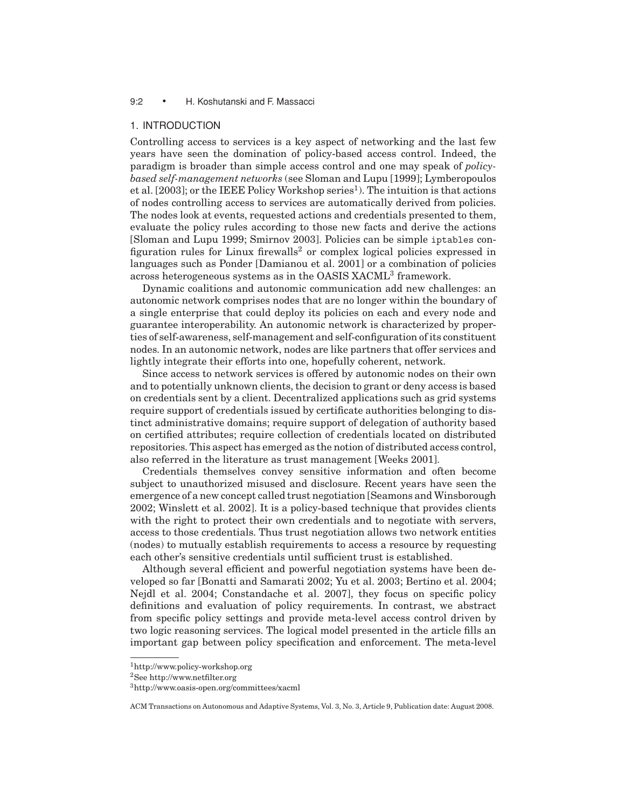## 9:2 • H. Koshutanski and F. Massacci

## 1. INTRODUCTION

Controlling access to services is a key aspect of networking and the last few years have seen the domination of policy-based access control. Indeed, the paradigm is broader than simple access control and one may speak of *policybased self-management networks* (see Sloman and Lupu [1999]; Lymberopoulos et al. [2003]; or the IEEE Policy Workshop series<sup>1</sup>). The intuition is that actions of nodes controlling access to services are automatically derived from policies. The nodes look at events, requested actions and credentials presented to them, evaluate the policy rules according to those new facts and derive the actions [Sloman and Lupu 1999; Smirnov 2003]. Policies can be simple iptables configuration rules for Linux firewalls2 or complex logical policies expressed in languages such as Ponder [Damianou et al. 2001] or a combination of policies across heterogeneous systems as in the OASIS XACML<sup>3</sup> framework.

Dynamic coalitions and autonomic communication add new challenges: an autonomic network comprises nodes that are no longer within the boundary of a single enterprise that could deploy its policies on each and every node and guarantee interoperability. An autonomic network is characterized by properties of self-awareness, self-management and self-configuration of its constituent nodes. In an autonomic network, nodes are like partners that offer services and lightly integrate their efforts into one, hopefully coherent, network.

Since access to network services is offered by autonomic nodes on their own and to potentially unknown clients, the decision to grant or deny access is based on credentials sent by a client. Decentralized applications such as grid systems require support of credentials issued by certificate authorities belonging to distinct administrative domains; require support of delegation of authority based on certified attributes; require collection of credentials located on distributed repositories. This aspect has emerged as the notion of distributed access control, also referred in the literature as trust management [Weeks 2001].

Credentials themselves convey sensitive information and often become subject to unauthorized misused and disclosure. Recent years have seen the emergence of a new concept called trust negotiation [Seamons and Winsborough 2002; Winslett et al. 2002]. It is a policy-based technique that provides clients with the right to protect their own credentials and to negotiate with servers, access to those credentials. Thus trust negotiation allows two network entities (nodes) to mutually establish requirements to access a resource by requesting each other's sensitive credentials until sufficient trust is established.

Although several efficient and powerful negotiation systems have been developed so far [Bonatti and Samarati 2002; Yu et al. 2003; Bertino et al. 2004; Nejdl et al. 2004; Constandache et al. 2007], they focus on specific policy definitions and evaluation of policy requirements. In contrast, we abstract from specific policy settings and provide meta-level access control driven by two logic reasoning services. The logical model presented in the article fills an important gap between policy specification and enforcement. The meta-level

<sup>1</sup>http://www.policy-workshop.org

<sup>2</sup>See http://www.netfilter.org

<sup>3</sup>http://www.oasis-open.org/committees/xacml

ACM Transactions on Autonomous and Adaptive Systems, Vol. 3, No. 3, Article 9, Publication date: August 2008.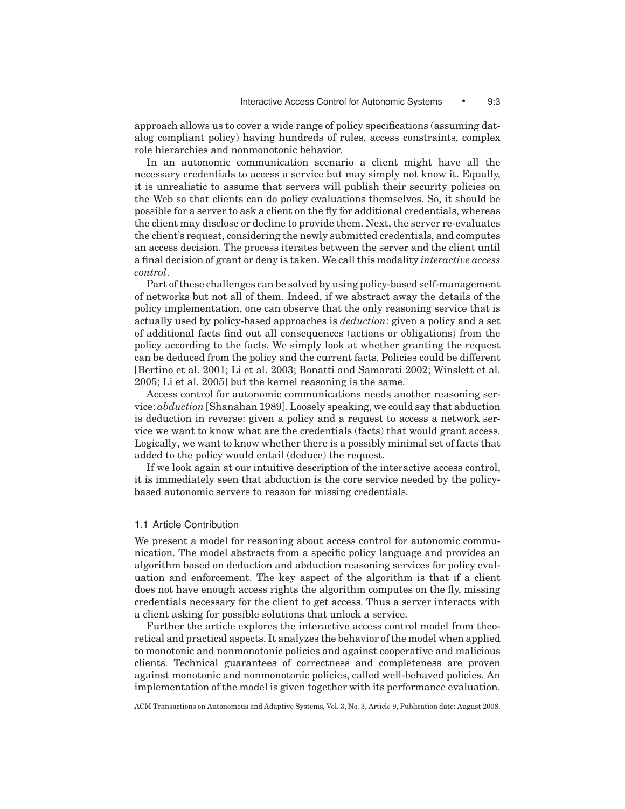approach allows us to cover a wide range of policy specifications (assuming datalog compliant policy) having hundreds of rules, access constraints, complex role hierarchies and nonmonotonic behavior.

In an autonomic communication scenario a client might have all the necessary credentials to access a service but may simply not know it. Equally, it is unrealistic to assume that servers will publish their security policies on the Web so that clients can do policy evaluations themselves. So, it should be possible for a server to ask a client on the fly for additional credentials, whereas the client may disclose or decline to provide them. Next, the server re-evaluates the client's request, considering the newly submitted credentials, and computes an access decision. The process iterates between the server and the client until a final decision of grant or deny is taken. We call this modality *interactive access control*.

Part of these challenges can be solved by using policy-based self-management of networks but not all of them. Indeed, if we abstract away the details of the policy implementation, one can observe that the only reasoning service that is actually used by policy-based approaches is *deduction*: given a policy and a set of additional facts find out all consequences (actions or obligations) from the policy according to the facts. We simply look at whether granting the request can be deduced from the policy and the current facts. Policies could be different [Bertino et al. 2001; Li et al. 2003; Bonatti and Samarati 2002; Winslett et al. 2005; Li et al. 2005] but the kernel reasoning is the same.

Access control for autonomic communications needs another reasoning service: *abduction* [Shanahan 1989]. Loosely speaking, we could say that abduction is deduction in reverse: given a policy and a request to access a network service we want to know what are the credentials (facts) that would grant access. Logically, we want to know whether there is a possibly minimal set of facts that added to the policy would entail (deduce) the request.

If we look again at our intuitive description of the interactive access control, it is immediately seen that abduction is the core service needed by the policybased autonomic servers to reason for missing credentials.

## 1.1 Article Contribution

We present a model for reasoning about access control for autonomic communication. The model abstracts from a specific policy language and provides an algorithm based on deduction and abduction reasoning services for policy evaluation and enforcement. The key aspect of the algorithm is that if a client does not have enough access rights the algorithm computes on the fly, missing credentials necessary for the client to get access. Thus a server interacts with a client asking for possible solutions that unlock a service.

Further the article explores the interactive access control model from theoretical and practical aspects. It analyzes the behavior of the model when applied to monotonic and nonmonotonic policies and against cooperative and malicious clients. Technical guarantees of correctness and completeness are proven against monotonic and nonmonotonic policies, called well-behaved policies. An implementation of the model is given together with its performance evaluation.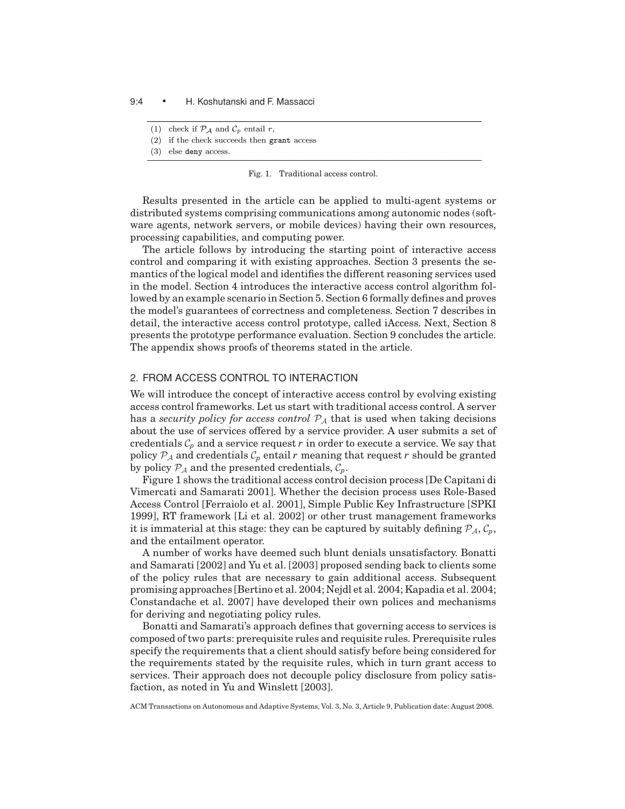#### 9:4 • H. Koshutanski and F. Massacci

Fig. 1. Traditional access control.

Results presented in the article can be applied to multi-agent systems or distributed systems comprising communications among autonomic nodes (software agents, network servers, or mobile devices) having their own resources, processing capabilities, and computing power.

The article follows by introducing the starting point of interactive access control and comparing it with existing approaches. Section 3 presents the semantics of the logical model and identifies the different reasoning services used in the model. Section 4 introduces the interactive access control algorithm followed by an example scenario in Section 5. Section 6 formally defines and proves the model's guarantees of correctness and completeness. Section 7 describes in detail, the interactive access control prototype, called iAccess. Next, Section 8 presents the prototype performance evaluation. Section 9 concludes the article. The appendix shows proofs of theorems stated in the article.

# 2. FROM ACCESS CONTROL TO INTERACTION

We will introduce the concept of interactive access control by evolving existing access control frameworks. Let us start with traditional access control. A server has a *security policy for access control*  $P_A$  that is used when taking decisions about the use of services offered by a service provider. A user submits a set of credentials  $C_p$  and a service request  $r$  in order to execute a service. We say that policy  $P_A$  and credentials  $C_p$  entail  $r$  meaning that request  $r$  should be granted by policy  $P_A$  and the presented credentials,  $C_p$ .

Figure 1 shows the traditional access control decision process [De Capitani di Vimercati and Samarati 2001]. Whether the decision process uses Role-Based Access Control [Ferraiolo et al. 2001], Simple Public Key Infrastructure [SPKI 1999], RT framework [Li et al. 2002] or other trust management frameworks it is immaterial at this stage: they can be captured by suitably defining  $P_A, C_p$ , and the entailment operator.

A number of works have deemed such blunt denials unsatisfactory. Bonatti and Samarati [2002] and Yu et al. [2003] proposed sending back to clients some of the policy rules that are necessary to gain additional access. Subsequent promising approaches [Bertino et al. 2004; Nejdl et al. 2004; Kapadia et al. 2004; Constandache et al. 2007] have developed their own polices and mechanisms for deriving and negotiating policy rules.

Bonatti and Samarati's approach defines that governing access to services is composed of two parts: prerequisite rules and requisite rules. Prerequisite rules specify the requirements that a client should satisfy before being considered for the requirements stated by the requisite rules, which in turn grant access to services. Their approach does not decouple policy disclosure from policy satisfaction, as noted in Yu and Winslett [2003].

<sup>(1)</sup> check if  $\mathcal{P}_{\mathcal{A}}$  and  $\mathcal{C}_p$  entail r,

 $(2)$  if the check succeeds then grant access

 $(3)$ else deny access.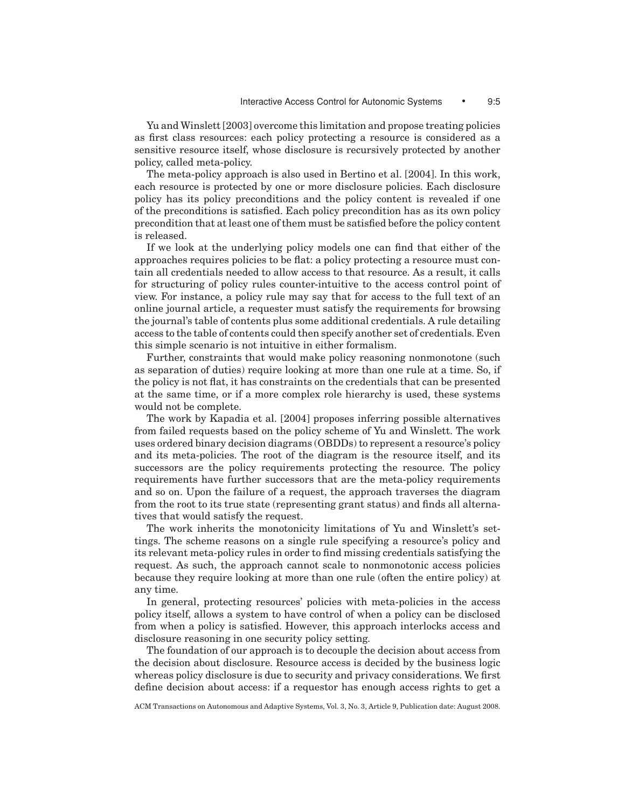Yu and Winslett [2003] overcome this limitation and propose treating policies as first class resources: each policy protecting a resource is considered as a sensitive resource itself, whose disclosure is recursively protected by another policy, called meta-policy.

The meta-policy approach is also used in Bertino et al. [2004]. In this work, each resource is protected by one or more disclosure policies. Each disclosure policy has its policy preconditions and the policy content is revealed if one of the preconditions is satisfied. Each policy precondition has as its own policy precondition that at least one of them must be satisfied before the policy content is released.

If we look at the underlying policy models one can find that either of the approaches requires policies to be flat: a policy protecting a resource must contain all credentials needed to allow access to that resource. As a result, it calls for structuring of policy rules counter-intuitive to the access control point of view. For instance, a policy rule may say that for access to the full text of an online journal article, a requester must satisfy the requirements for browsing the journal's table of contents plus some additional credentials. A rule detailing access to the table of contents could then specify another set of credentials. Even this simple scenario is not intuitive in either formalism.

Further, constraints that would make policy reasoning nonmonotone (such as separation of duties) require looking at more than one rule at a time. So, if the policy is not flat, it has constraints on the credentials that can be presented at the same time, or if a more complex role hierarchy is used, these systems would not be complete.

The work by Kapadia et al. [2004] proposes inferring possible alternatives from failed requests based on the policy scheme of Yu and Winslett. The work uses ordered binary decision diagrams (OBDDs) to represent a resource's policy and its meta-policies. The root of the diagram is the resource itself, and its successors are the policy requirements protecting the resource. The policy requirements have further successors that are the meta-policy requirements and so on. Upon the failure of a request, the approach traverses the diagram from the root to its true state (representing grant status) and finds all alternatives that would satisfy the request.

The work inherits the monotonicity limitations of Yu and Winslett's settings. The scheme reasons on a single rule specifying a resource's policy and its relevant meta-policy rules in order to find missing credentials satisfying the request. As such, the approach cannot scale to nonmonotonic access policies because they require looking at more than one rule (often the entire policy) at any time.

In general, protecting resources' policies with meta-policies in the access policy itself, allows a system to have control of when a policy can be disclosed from when a policy is satisfied. However, this approach interlocks access and disclosure reasoning in one security policy setting.

The foundation of our approach is to decouple the decision about access from the decision about disclosure. Resource access is decided by the business logic whereas policy disclosure is due to security and privacy considerations. We first define decision about access: if a requestor has enough access rights to get a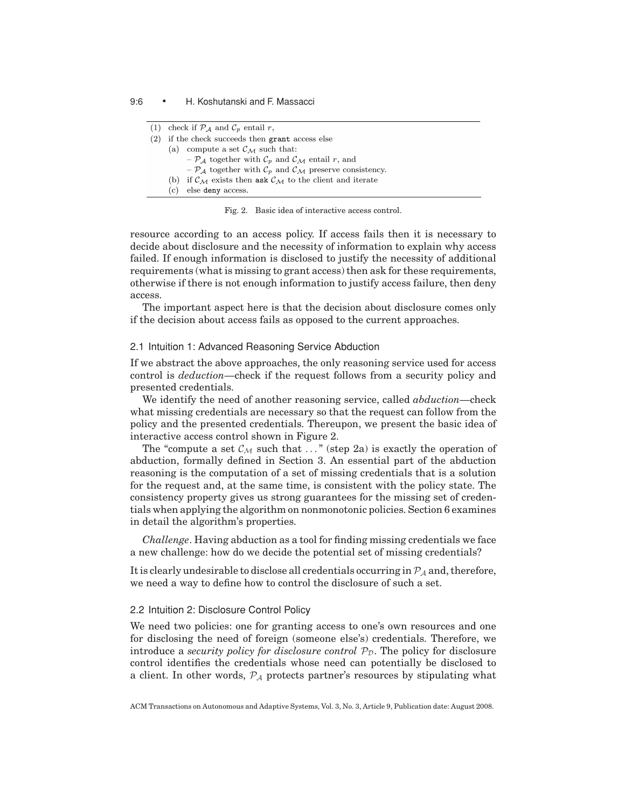## 9:6 • H. Koshutanski and F. Massacci

|     | (1) check if $\mathcal{P}_A$ and $\mathcal{C}_p$ entail r,                               |  |  |  |
|-----|------------------------------------------------------------------------------------------|--|--|--|
| (2) | if the check succeeds then grant access else                                             |  |  |  |
|     | (a) compute a set $\mathcal{C}_M$ such that:                                             |  |  |  |
|     | $-\mathcal{P}_A$ together with $\mathcal{C}_p$ and $\mathcal{C}_M$ entail r, and         |  |  |  |
|     | $-\mathcal{P}_A$ together with $\mathcal{C}_p$ and $\mathcal{C}_M$ preserve consistency. |  |  |  |
|     | (b) if $\mathcal{C}_M$ exists then ask $\mathcal{C}_M$ to the client and iterate         |  |  |  |
|     | (c) else deny access.                                                                    |  |  |  |
|     |                                                                                          |  |  |  |

Fig. 2. Basic idea of interactive access control.

resource according to an access policy. If access fails then it is necessary to decide about disclosure and the necessity of information to explain why access failed. If enough information is disclosed to justify the necessity of additional requirements (what is missing to grant access) then ask for these requirements, otherwise if there is not enough information to justify access failure, then deny access.

The important aspect here is that the decision about disclosure comes only if the decision about access fails as opposed to the current approaches.

## 2.1 Intuition 1: Advanced Reasoning Service Abduction

If we abstract the above approaches, the only reasoning service used for access control is *deduction*—check if the request follows from a security policy and presented credentials.

We identify the need of another reasoning service, called *abduction*—check what missing credentials are necessary so that the request can follow from the policy and the presented credentials. Thereupon, we present the basic idea of interactive access control shown in Figure 2.

The "compute a set  $C_M$  such that ..." (step 2a) is exactly the operation of abduction, formally defined in Section 3. An essential part of the abduction reasoning is the computation of a set of missing credentials that is a solution for the request and, at the same time, is consistent with the policy state. The consistency property gives us strong guarantees for the missing set of credentials when applying the algorithm on nonmonotonic policies. Section 6 examines in detail the algorithm's properties.

*Challenge*. Having abduction as a tool for finding missing credentials we face a new challenge: how do we decide the potential set of missing credentials?

It is clearly undesirable to disclose all credentials occurring in  $\mathcal{P}_A$  and, therefore, we need a way to define how to control the disclosure of such a set.

## 2.2 Intuition 2: Disclosure Control Policy

We need two policies: one for granting access to one's own resources and one for disclosing the need of foreign (someone else's) credentials. Therefore, we introduce a *security policy for disclosure control*  $P<sub>D</sub>$ . The policy for disclosure control identifies the credentials whose need can potentially be disclosed to a client. In other words,  $P_A$  protects partner's resources by stipulating what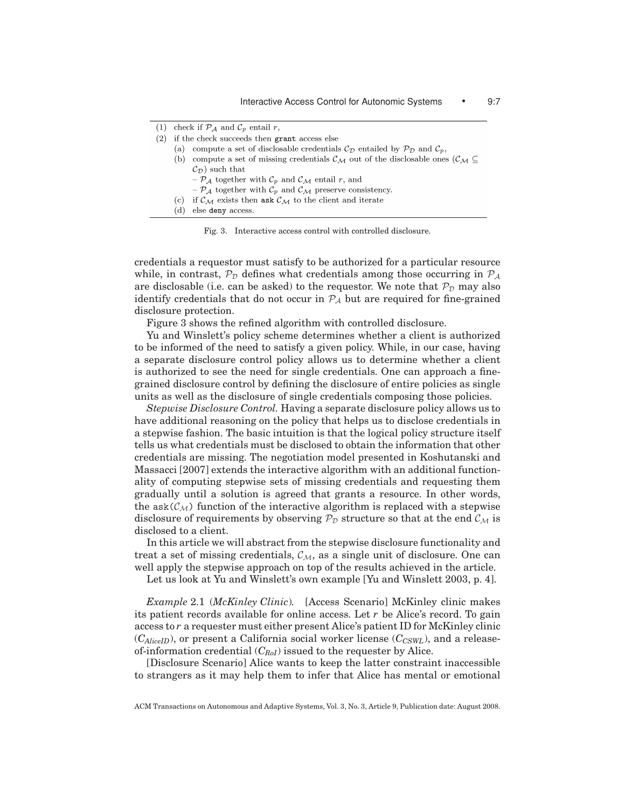|     |     | check if $\mathcal{P}_A$ and $\mathcal{C}_n$ entail r,                                                                               |  |  |  |
|-----|-----|--------------------------------------------------------------------------------------------------------------------------------------|--|--|--|
| (2) |     | if the check succeeds then grant access else                                                                                         |  |  |  |
|     | (a) | compute a set of disclosable credentials $\mathcal{C}_{\mathcal{D}}$ entailed by $\mathcal{P}_{\mathcal{D}}$ and $\mathcal{C}_{p}$ , |  |  |  |
|     | (b) | compute a set of missing credentials $\mathcal{C}_M$ out of the disclosable ones $(\mathcal{C}_M \subset$                            |  |  |  |
|     |     | $(\mathcal{C}_{\mathcal{D}})$ such that                                                                                              |  |  |  |
|     |     | $-\mathcal{P}_A$ together with $\mathcal{C}_p$ and $\mathcal{C}_M$ entail r, and                                                     |  |  |  |
|     |     | $-\mathcal{P}_A$ together with $\mathcal{C}_p$ and $\mathcal{C}_M$ preserve consistency.                                             |  |  |  |
|     | (c) | if $\mathcal{C}_M$ exists then ask $\mathcal{C}_M$ to the client and iterate                                                         |  |  |  |
|     | 'd) | else deny access.                                                                                                                    |  |  |  |
|     |     |                                                                                                                                      |  |  |  |

Fig. 3. Interactive access control with controlled disclosure.

credentials a requestor must satisfy to be authorized for a particular resource while, in contrast,  $\mathcal{P}_D$  defines what credentials among those occurring in  $\mathcal{P}_A$ are disclosable (i.e. can be asked) to the requestor. We note that  $\mathcal{P}_D$  may also identify credentials that do not occur in  $\mathcal{P}_A$  but are required for fine-grained disclosure protection.

Figure 3 shows the refined algorithm with controlled disclosure.

Yu and Winslett's policy scheme determines whether a client is authorized to be informed of the need to satisfy a given policy. While, in our case, having a separate disclosure control policy allows us to determine whether a client is authorized to see the need for single credentials. One can approach a finegrained disclosure control by defining the disclosure of entire policies as single units as well as the disclosure of single credentials composing those policies.

*Stepwise Disclosure Control.* Having a separate disclosure policy allows us to have additional reasoning on the policy that helps us to disclose credentials in a stepwise fashion. The basic intuition is that the logical policy structure itself tells us what credentials must be disclosed to obtain the information that other credentials are missing. The negotiation model presented in Koshutanski and Massacci [2007] extends the interactive algorithm with an additional functionality of computing stepwise sets of missing credentials and requesting them gradually until a solution is agreed that grants a resource. In other words, the ask( $\mathcal{C}_M$ ) function of the interactive algorithm is replaced with a stepwise disclosure of requirements by observing  $P_D$  structure so that at the end  $C_M$  is disclosed to a client.

In this article we will abstract from the stepwise disclosure functionality and treat a set of missing credentials,  $C_M$ , as a single unit of disclosure. One can well apply the stepwise approach on top of the results achieved in the article.

Let us look at Yu and Winslett's own example [Yu and Winslett 2003, p. 4].

*Example* 2.1 (*McKinley Clinic*)*.* [Access Scenario] McKinley clinic makes its patient records available for online access. Let *r* be Alice's record. To gain access to *r* a requester must either present Alice's patient ID for McKinley clinic  $(C_{\text{AliceID}})$ , or present a California social worker license  $(C_{\text{CSWL}})$ , and a releaseof-information credential (*CRoI*) issued to the requester by Alice.

[Disclosure Scenario] Alice wants to keep the latter constraint inaccessible to strangers as it may help them to infer that Alice has mental or emotional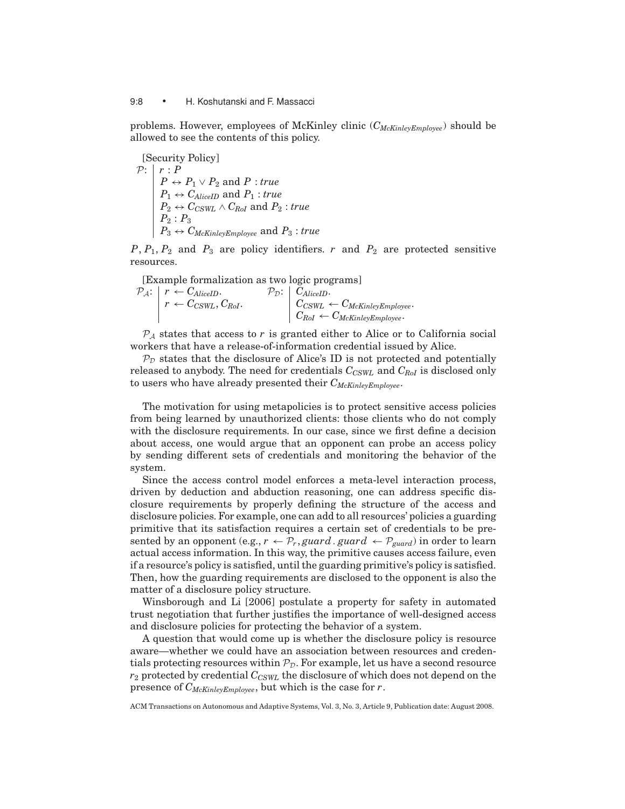#### 9:8 • H. Koshutanski and F. Massacci

problems. However, employees of McKinley clinic (*CMcKinleyEmployee*) should be allowed to see the contents of this policy.

[Security Policy]  $P: \mid r : P$  $P \leftrightarrow P_1 \vee P_2$  and  $P: true$  $P_1 \leftrightarrow C_{AliceID}$  and  $P_1$  : *true*  $P_2 \leftrightarrow C_{CSWL} \wedge C_{RoI}$  and  $P_2 : true$  $P_2 : P_3$  $P_3 \leftrightarrow C_{McKinleyEmployee}$  and  $P_3 : true$ 

 $P$ ,  $P_1$ ,  $P_2$  and  $P_3$  are policy identifiers. *r* and  $P_2$  are protected sensitive resources.

[Example formalization as two logic programs]

| $\mathcal{P}_{\mathcal{A}}$ : $\mid r \leftarrow C_{AliceID}$ . | $\mathcal{P}_{\mathcal{D}}$ : $C_{AliceID}$ . |
|-----------------------------------------------------------------|-----------------------------------------------|
| $r \leftarrow C_{CSWL}, C_{RoI}.$                               | $C_{CSWL} \leftarrow C_{McKinleyEmployee}.$   |
|                                                                 | $C_{RoI} \leftarrow C_{McKinleyEmployee}$     |

 $P_A$  states that access to  $r$  is granted either to Alice or to California social workers that have a release-of-information credential issued by Alice.

 $P<sub>D</sub>$  states that the disclosure of Alice's ID is not protected and potentially released to anybody. The need for credentials  $C_{CSWL}$  and  $C_{RoI}$  is disclosed only to users who have already presented their *CMcKinleyEmployee*.

The motivation for using metapolicies is to protect sensitive access policies from being learned by unauthorized clients: those clients who do not comply with the disclosure requirements. In our case, since we first define a decision about access, one would argue that an opponent can probe an access policy by sending different sets of credentials and monitoring the behavior of the system.

Since the access control model enforces a meta-level interaction process, driven by deduction and abduction reasoning, one can address specific disclosure requirements by properly defining the structure of the access and disclosure policies. For example, one can add to all resources' policies a guarding primitive that its satisfaction requires a certain set of credentials to be presented by an opponent (e.g.,  $r \leftarrow \mathcal{P}_r$ , *guard* . *guard*  $\leftarrow \mathcal{P}_{guard}$ ) in order to learn actual access information. In this way, the primitive causes access failure, even if a resource's policy is satisfied, until the guarding primitive's policy is satisfied. Then, how the guarding requirements are disclosed to the opponent is also the matter of a disclosure policy structure.

Winsborough and Li [2006] postulate a property for safety in automated trust negotiation that further justifies the importance of well-designed access and disclosure policies for protecting the behavior of a system.

A question that would come up is whether the disclosure policy is resource aware—whether we could have an association between resources and credentials protecting resources within  $\mathcal{P}_\mathcal{D}$ . For example, let us have a second resource  $r_2$  protected by credential  $C_{CSWL}$  the disclosure of which does not depend on the presence of *CMcKinleyEmployee*, but which is the case for *r*.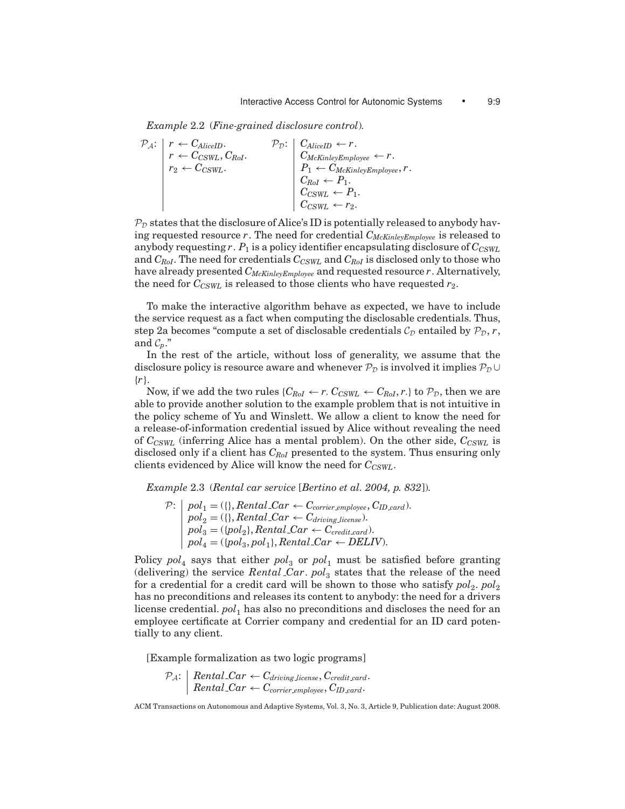*Example* 2.2 (*Fine-grained disclosure control*)*.*

$$
\mathcal{P}_{\mathcal{A}}\colon\n\begin{array}{c}\nr \leftarrow C_{AliceID}.\n\hline\n\begin{array}{c}\nr \leftarrow C_{AliceID}.\n\end{array}\n\end{array}\n\quad\n\begin{array}{c}\n\mathcal{P}_{\mathcal{D}}\colon\n\begin{array}{c}\n\text{C} \text{AliceID} \leftarrow r.\n\hline\n\begin{array}{c}\n\text{C} \text{McKinleyEmployee} \leftarrow r.\n\end{array}\n\end{array}\n\end{array}\n\quad\n\begin{array}{c}\n\mathcal{P}_{\mathcal{D}}\colon\n\begin{array}{c}\n\text{C} \text{McKinleyEmployee} \leftarrow r.\n\hline\n\begin{array}{c}\n\text{C} \text{C} \text{C} \leftarrow P.\n\end{array}\n\end{array}\n\quad\n\begin{array}{c}\n\text{C} \text{C} \text{C} \leftarrow P.\n\end{array}\n\quad\n\begin{array}{c}\n\text{C} \text{C} \text{C} \leftarrow P.\n\end{array}\n\quad\n\begin{array}{c}\n\text{C} \text{C} \text{C} \leftarrow P.\n\end{array}\n\quad\n\begin{array}{c}\n\text{C} \text{C} \text{C} \leftarrow P.\n\end{array}\n\end{array}
$$

 $\mathcal{P}_\mathcal{D}$  states that the disclosure of Alice's ID is potentially released to anybody having requested resource *r*. The need for credential *CMcKinleyEmployee* is released to anybody requesting  $r$ .  $P_1$  is a policy identifier encapsulating disclosure of  $C_{CSWL}$ and *C<sub>RoI</sub>*. The need for credentials *C<sub>CSWL</sub>* and *C<sub>RoI</sub>* is disclosed only to those who have already presented *CMcKinleyEmployee* and requested resource *r*. Alternatively, the need for  $C_{CSWL}$  is released to those clients who have requested  $r_2$ .

To make the interactive algorithm behave as expected, we have to include the service request as a fact when computing the disclosable credentials. Thus, step 2a becomes "compute a set of disclosable credentials  $C_{\mathcal{D}}$  entailed by  $\mathcal{P}_{\mathcal{D}}$ , *r*, and  $C_p$ ."

In the rest of the article, without loss of generality, we assume that the disclosure policy is resource aware and whenever  $\mathcal{P}_{\mathcal{D}}$  is involved it implies  $\mathcal{P}_{\mathcal{D}} \cup$ {*r*}.

Now, if we add the two rules  $\{C_{RoI} \leftarrow r, C_{CSWL} \leftarrow C_{RoI}, r$ .} to  $\mathcal{P}_{\mathcal{D}}$ , then we are able to provide another solution to the example problem that is not intuitive in the policy scheme of Yu and Winslett. We allow a client to know the need for a release-of-information credential issued by Alice without revealing the need of *CCSWL* (inferring Alice has a mental problem). On the other side, *CCSWL* is disclosed only if a client has *CRoI* presented to the system. Thus ensuring only clients evidenced by Alice will know the need for  $C_{CSWL}$ .

*Example* 2.3 (*Rental car service* [*Bertino et al. 2004, p. 832*])*.*

 $\mathcal{P}: \int_{0}^{1} p_{0} I_{1} = (\{\}, Rental\ \text{Car} \leftarrow C_{\text{corrier\_employee}}, C_{ID\ \text{card}}).$  $pol<sub>2</sub> = (\{\}, Rental\_Car \leftarrow C_{driving \, License}).$  $pol_3 = (\{pol_2\}, Rental_Car \leftarrow C_{credit\, card}).$  $pol<sub>4</sub> = (\{pol<sub>3</sub>, pol<sub>1</sub>\}, Rental_Car \leftarrow DELIV$ .

Policy  $pol_4$  says that either  $pol_3$  or  $pol_1$  must be satisfied before granting (delivering) the service *Rental Car*. *pol*<sup>3</sup> states that the release of the need for a credential for a credit card will be shown to those who satisfy  $pol_2$ .  $pol_2$ has no preconditions and releases its content to anybody: the need for a drivers license credential. *pol*<sup>1</sup> has also no preconditions and discloses the need for an employee certificate at Corrier company and credential for an ID card potentially to any client.

[Example formalization as two logic programs]

$$
\mathcal{P}_{\mathcal{A}}\colon \left| \begin{array}{l} \textit{Rental-Car} \leftarrow \textit{C_{driving license}}, \textit{C_{credit}\_ard}. \\ \textit{Rental-Car} \leftarrow \textit{C_{corrier\_employee}}, \textit{C_{ID}\_card}. \end{array} \right|\right.
$$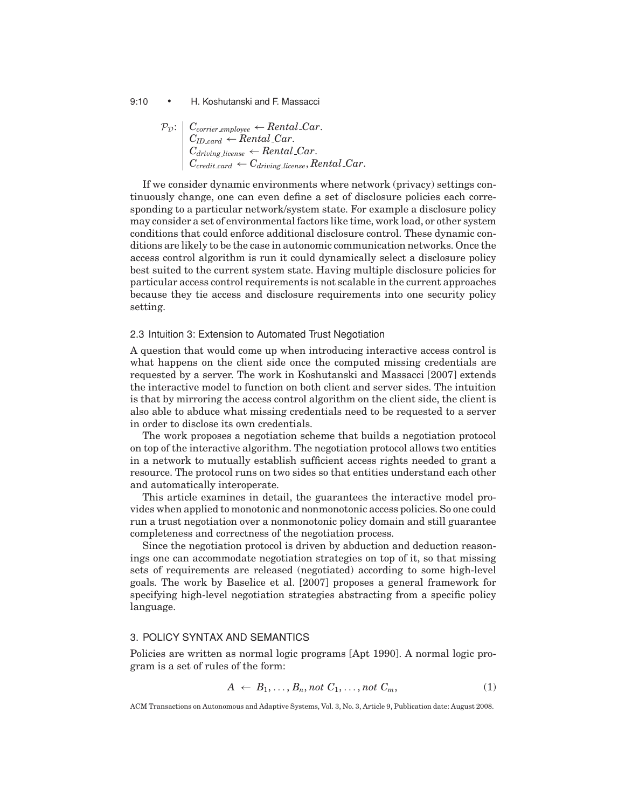9:10 • H. Koshutanski and F. Massacci

PD: *Ccorrier employee* ← *Rental Car*. *CID card* ← *Rental Car*. *Cdriving license* ← *Rental Car*. *Ccredit card* ← *Cdriving license*, *Rental Car*.

If we consider dynamic environments where network (privacy) settings continuously change, one can even define a set of disclosure policies each corresponding to a particular network/system state. For example a disclosure policy may consider a set of environmental factors like time, work load, or other system conditions that could enforce additional disclosure control. These dynamic conditions are likely to be the case in autonomic communication networks. Once the access control algorithm is run it could dynamically select a disclosure policy best suited to the current system state. Having multiple disclosure policies for particular access control requirements is not scalable in the current approaches because they tie access and disclosure requirements into one security policy setting.

#### 2.3 Intuition 3: Extension to Automated Trust Negotiation

A question that would come up when introducing interactive access control is what happens on the client side once the computed missing credentials are requested by a server. The work in Koshutanski and Massacci [2007] extends the interactive model to function on both client and server sides. The intuition is that by mirroring the access control algorithm on the client side, the client is also able to abduce what missing credentials need to be requested to a server in order to disclose its own credentials.

The work proposes a negotiation scheme that builds a negotiation protocol on top of the interactive algorithm. The negotiation protocol allows two entities in a network to mutually establish sufficient access rights needed to grant a resource. The protocol runs on two sides so that entities understand each other and automatically interoperate.

This article examines in detail, the guarantees the interactive model provides when applied to monotonic and nonmonotonic access policies. So one could run a trust negotiation over a nonmonotonic policy domain and still guarantee completeness and correctness of the negotiation process.

Since the negotiation protocol is driven by abduction and deduction reasonings one can accommodate negotiation strategies on top of it, so that missing sets of requirements are released (negotiated) according to some high-level goals. The work by Baselice et al. [2007] proposes a general framework for specifying high-level negotiation strategies abstracting from a specific policy language.

# 3. POLICY SYNTAX AND SEMANTICS

Policies are written as normal logic programs [Apt 1990]. A normal logic program is a set of rules of the form:

$$
A \leftarrow B_1, \ldots, B_n, \text{not } C_1, \ldots, \text{not } C_m,\tag{1}
$$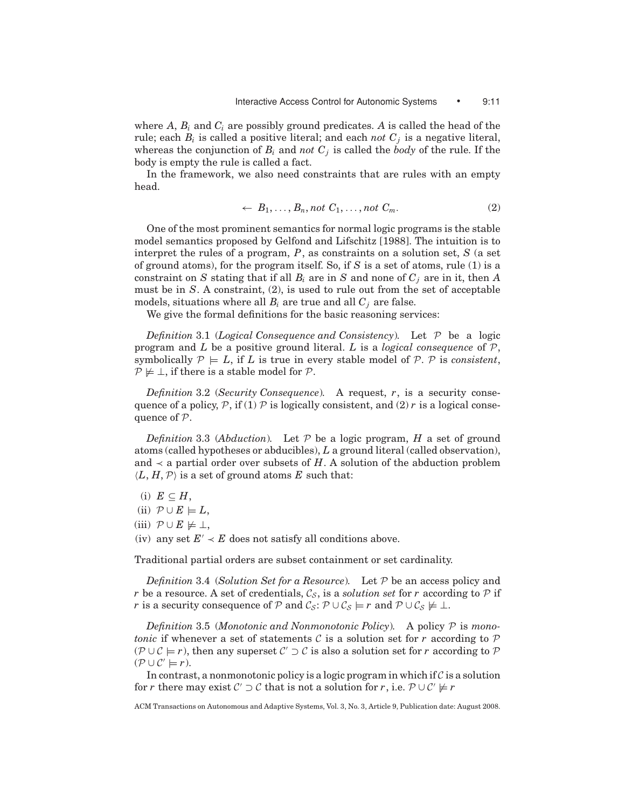where  $A$ ,  $B_i$  and  $C_i$  are possibly ground predicates.  $A$  is called the head of the rule; each  $B_i$  is called a positive literal; and each *not*  $C_j$  is a negative literal, whereas the conjunction of  $B_i$  and *not*  $C_j$  is called the *body* of the rule. If the body is empty the rule is called a fact.

In the framework, we also need constraints that are rules with an empty head.

$$
\leftarrow B_1, \ldots, B_n, not C_1, \ldots, not C_m. \tag{2}
$$

One of the most prominent semantics for normal logic programs is the stable model semantics proposed by Gelfond and Lifschitz [1988]. The intuition is to interpret the rules of a program, *P*, as constraints on a solution set, *S* (a set of ground atoms), for the program itself. So, if *S* is a set of atoms, rule (1) is a constraint on *S* stating that if all  $B_i$  are in *S* and none of  $C_j$  are in it, then *A* must be in *S*. A constraint, (2), is used to rule out from the set of acceptable models, situations where all  $B_i$  are true and all  $C_j$  are false.

We give the formal definitions for the basic reasoning services:

*Definition* 3.1 (*Logical Consequence and Consistency*)*.* Let P be a logic program and *L* be a positive ground literal. *L* is a *logical consequence* of P, symbolically  $P \models L$ , if *L* is true in every stable model of P. P is *consistent*,  $P \not\models \bot$ , if there is a stable model for  $P$ .

*Definition* 3.2 (*Security Consequence*)*.* A request, *r*, is a security consequence of a policy,  $P$ , if (1)  $P$  is logically consistent, and (2) *r* is a logical consequence of  $P$ .

*Definition* 3.3 (*Abduction*). Let  $P$  be a logic program,  $H$  a set of ground atoms (called hypotheses or abducibles), *L* a ground literal (called observation), and  $\prec$  a partial order over subsets of H. A solution of the abduction problem  $\langle L, H, \mathcal{P} \rangle$  is a set of ground atoms *E* such that:

- $(i)$   $E \subseteq H$ ,
- (ii)  $P ∪ E |= L$ ,
- (iii)  $P ∪ E \not\models ∥$ ,
- (iv) any set  $E' \prec E$  does not satisfy all conditions above.

Traditional partial orders are subset containment or set cardinality.

*Definition* 3.4 (*Solution Set for a Resource*)*.* Let P be an access policy and *r* be a resource. A set of credentials,  $\mathcal{C}_{\mathcal{S}}$ , is a *solution set* for *r* according to  $\mathcal{P}$  if *r* is a security consequence of  $P$  and  $C_S$ :  $P \cup C_S \models r$  and  $P \cup C_S \not\models \bot$ .

*Definition* 3.5 (*Monotonic and Nonmonotonic Policy*)*.* A policy P is *monotonic* if whenever a set of statements C is a solution set for r according to  $\mathcal P$ ( $P ∪ C ⊨ r$ ), then any superset  $C' ∋ C$  is also a solution set for *r* according to  $P$  $({\cal P} \cup {\cal C}' \models r).$ 

In contrast, a nonmonotonic policy is a logic program in which if  $\mathcal C$  is a solution for *r* there may exist  $C' \supset C$  that is not a solution for *r*, i.e.  $\mathcal{P} \cup \mathcal{C}' \not\models r$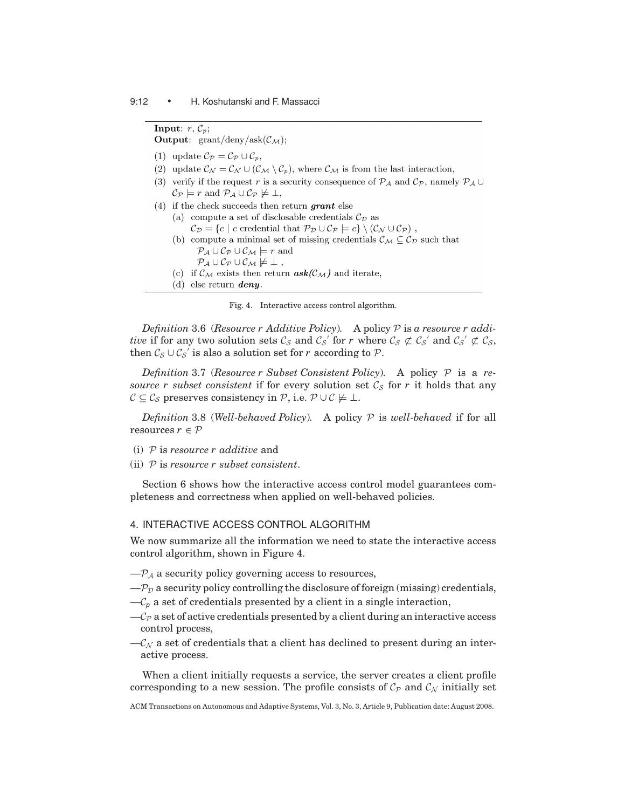Input:  $r, \mathcal{C}_p$ ; **Output:** grant/deny/ask( $\mathcal{C}_{\mathcal{M}}$ );

- (1) update  $\mathcal{C}_{\mathcal{P}} = \mathcal{C}_{\mathcal{P}} \cup \mathcal{C}_{v}$ ,
- (2) update  $\mathcal{C}_{\mathcal{N}} = \mathcal{C}_{\mathcal{N}} \cup (\mathcal{C}_{\mathcal{M}} \setminus \mathcal{C}_{p}),$  where  $\mathcal{C}_{\mathcal{M}}$  is from the last interaction,
- (3) verify if the request r is a security consequence of  $\mathcal{P}_{\mathcal{A}}$  and  $\mathcal{C}_{\mathcal{P}}$ , namely  $\mathcal{P}_{\mathcal{A}} \cup$  $\mathcal{C}_{\mathcal{P}}$   $\models$  r and  $\mathcal{P}_{\mathcal{A}} \cup \mathcal{C}_{\mathcal{P}}$   $\models$   $\bot$ ,
- (4) if the check succeeds then return grant else (a) compute a set of disclosable credentials  $\mathcal{C}_{\mathcal{D}}$  as
	- $\mathcal{C}_{\mathcal{D}} = \{c \mid c \text{ credentials that } \mathcal{P}_{\mathcal{D}} \cup \mathcal{C}_{\mathcal{P}} \models c\} \setminus (\mathcal{C}_{\mathcal{N}} \cup \mathcal{C}_{\mathcal{P}}),$
	- (b) compute a minimal set of missing credentials  $\mathcal{C}_{\mathcal{M}} \subseteq \mathcal{C}_{\mathcal{D}}$  such that  $\mathcal{P}_{\mathcal{A}} \cup \mathcal{C}_{\mathcal{P}} \cup \mathcal{C}_{\mathcal{M}} \models r$  and  $P_A \cup C_P \cup C_M \not\models \bot$ ,
	- (c) if  $\mathcal{C}_{\mathcal{M}}$  exists then return  $ask(\mathcal{C}_{\mathcal{M}})$  and iterate,
	- (d) else return  $deny$ .

Fig. 4. Interactive access control algorithm.

*Definition* 3.6 (*Resource r Additive Policy*)*.* A policy P is *a resource r additive* if for any two solution sets  $C_S$  and  $C_S$  for *r* where  $C_S \not\subset C_S$  and  $C_S' \not\subset C_S$ , then  $\mathcal{C}_{\mathcal{S}} \cup \mathcal{C}_{\mathcal{S}}'$  is also a solution set for *r* according to  $\mathcal{P}$ .

*Definition* 3.7 (*Resource r Subset Consistent Policy*)*.* A policy P is a *resource r subset consistent* if for every solution set  $\mathcal{C}_{\mathcal{S}}$  for *r* it holds that any  $C \subseteq C_S$  preserves consistency in P, i.e.  $P \cup C \not\models \bot$ .

*Definition* 3.8 (*Well-behaved Policy*)*.* A policy P is *well-behaved* if for all resources  $r \in \mathcal{P}$ 

- (i) P is *resource r additive* and
- (ii) P is *resource r subset consistent*.

Section 6 shows how the interactive access control model guarantees completeness and correctness when applied on well-behaved policies.

## 4. INTERACTIVE ACCESS CONTROL ALGORITHM

We now summarize all the information we need to state the interactive access control algorithm, shown in Figure 4.

- $-\mathcal{P}_\mathcal{A}$  a security policy governing access to resources,
- $-\mathcal{P}_\mathcal{D}$  a security policy controlling the disclosure of foreign (missing) credentials,
- $-\mathcal{C}_p$  a set of credentials presented by a client in a single interaction,
- $-\mathcal{C}_{\mathcal{P}}$  a set of active credentials presented by a client during an interactive access control process,
- $-\mathcal{C}_\mathcal{N}$  a set of credentials that a client has declined to present during an interactive process.

When a client initially requests a service, the server creates a client profile corresponding to a new session. The profile consists of  $\mathcal{C}_{\mathcal{P}}$  and  $\mathcal{C}_{\mathcal{N}}$  initially set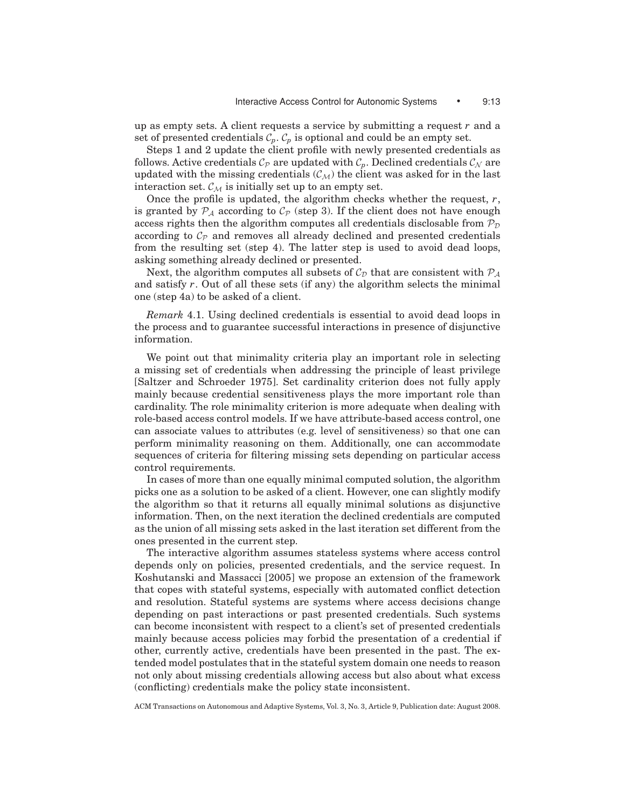up as empty sets. A client requests a service by submitting a request *r* and a set of presented credentials  $C_p$ .  $C_p$  is optional and could be an empty set.

Steps 1 and 2 update the client profile with newly presented credentials as follows. Active credentials  $C_p$  are updated with  $C_p$ . Declined credentials  $C_N$  are updated with the missing credentials  $(C_M)$  the client was asked for in the last interaction set.  $\mathcal{C}_{\mathcal{M}}$  is initially set up to an empty set.

Once the profile is updated, the algorithm checks whether the request, *r*, is granted by  $P_A$  according to  $C_P$  (step 3). If the client does not have enough access rights then the algorithm computes all credentials disclosable from  $\mathcal{P}_{\mathcal{D}}$ according to  $C_{\mathcal{P}}$  and removes all already declined and presented credentials from the resulting set (step 4). The latter step is used to avoid dead loops, asking something already declined or presented.

Next, the algorithm computes all subsets of  $C_{\mathcal{D}}$  that are consistent with  $\mathcal{P}_{\mathcal{A}}$ and satisfy *r*. Out of all these sets (if any) the algorithm selects the minimal one (step 4a) to be asked of a client.

*Remark* 4.1. Using declined credentials is essential to avoid dead loops in the process and to guarantee successful interactions in presence of disjunctive information.

We point out that minimality criteria play an important role in selecting a missing set of credentials when addressing the principle of least privilege [Saltzer and Schroeder 1975]. Set cardinality criterion does not fully apply mainly because credential sensitiveness plays the more important role than cardinality. The role minimality criterion is more adequate when dealing with role-based access control models. If we have attribute-based access control, one can associate values to attributes (e.g. level of sensitiveness) so that one can perform minimality reasoning on them. Additionally, one can accommodate sequences of criteria for filtering missing sets depending on particular access control requirements.

In cases of more than one equally minimal computed solution, the algorithm picks one as a solution to be asked of a client. However, one can slightly modify the algorithm so that it returns all equally minimal solutions as disjunctive information. Then, on the next iteration the declined credentials are computed as the union of all missing sets asked in the last iteration set different from the ones presented in the current step.

The interactive algorithm assumes stateless systems where access control depends only on policies, presented credentials, and the service request. In Koshutanski and Massacci [2005] we propose an extension of the framework that copes with stateful systems, especially with automated conflict detection and resolution. Stateful systems are systems where access decisions change depending on past interactions or past presented credentials. Such systems can become inconsistent with respect to a client's set of presented credentials mainly because access policies may forbid the presentation of a credential if other, currently active, credentials have been presented in the past. The extended model postulates that in the stateful system domain one needs to reason not only about missing credentials allowing access but also about what excess (conflicting) credentials make the policy state inconsistent.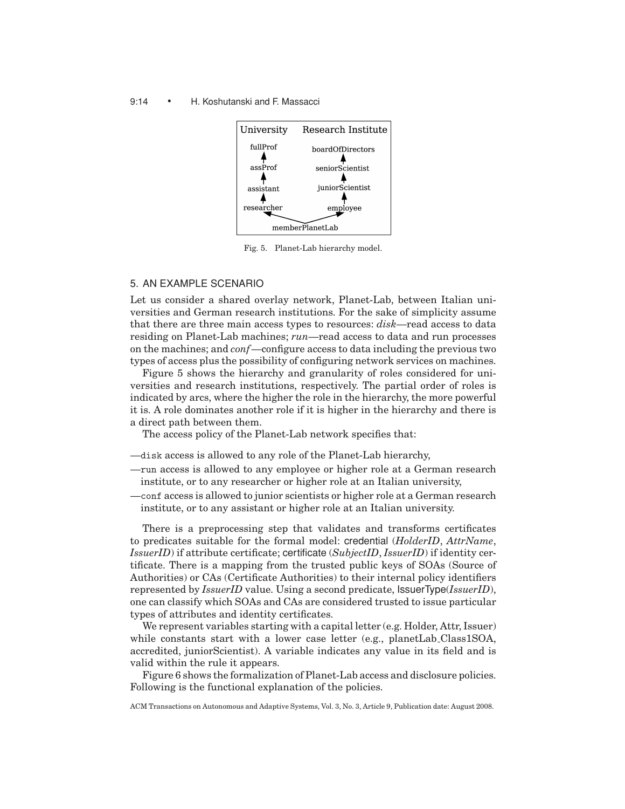#### 9:14 • H. Koshutanski and F. Massacci



Fig. 5. Planet-Lab hierarchy model.

# 5. AN EXAMPLE SCENARIO

Let us consider a shared overlay network, Planet-Lab, between Italian universities and German research institutions. For the sake of simplicity assume that there are three main access types to resources: *disk*—read access to data residing on Planet-Lab machines; *run*—read access to data and run processes on the machines; and *conf*—configure access to data including the previous two types of access plus the possibility of configuring network services on machines.

Figure 5 shows the hierarchy and granularity of roles considered for universities and research institutions, respectively. The partial order of roles is indicated by arcs, where the higher the role in the hierarchy, the more powerful it is. A role dominates another role if it is higher in the hierarchy and there is a direct path between them.

The access policy of the Planet-Lab network specifies that:

- —disk access is allowed to any role of the Planet-Lab hierarchy,
- —run access is allowed to any employee or higher role at a German research institute, or to any researcher or higher role at an Italian university,
- —conf access is allowed to junior scientists or higher role at a German research institute, or to any assistant or higher role at an Italian university.

There is a preprocessing step that validates and transforms certificates to predicates suitable for the formal model: credential (*HolderID*, *AttrName*, *IssuerID*) if attribute certificate; certificate (*SubjectID*, *IssuerID*) if identity certificate. There is a mapping from the trusted public keys of SOAs (Source of Authorities) or CAs (Certificate Authorities) to their internal policy identifiers represented by *IssuerID* value. Using a second predicate, IssuerType(*IssuerID*), one can classify which SOAs and CAs are considered trusted to issue particular types of attributes and identity certificates.

We represent variables starting with a capital letter (e.g. Holder, Attr, Issuer) while constants start with a lower case letter (e.g., planetLab Class1SOA, accredited, juniorScientist). A variable indicates any value in its field and is valid within the rule it appears.

Figure 6 shows the formalization of Planet-Lab access and disclosure policies. Following is the functional explanation of the policies.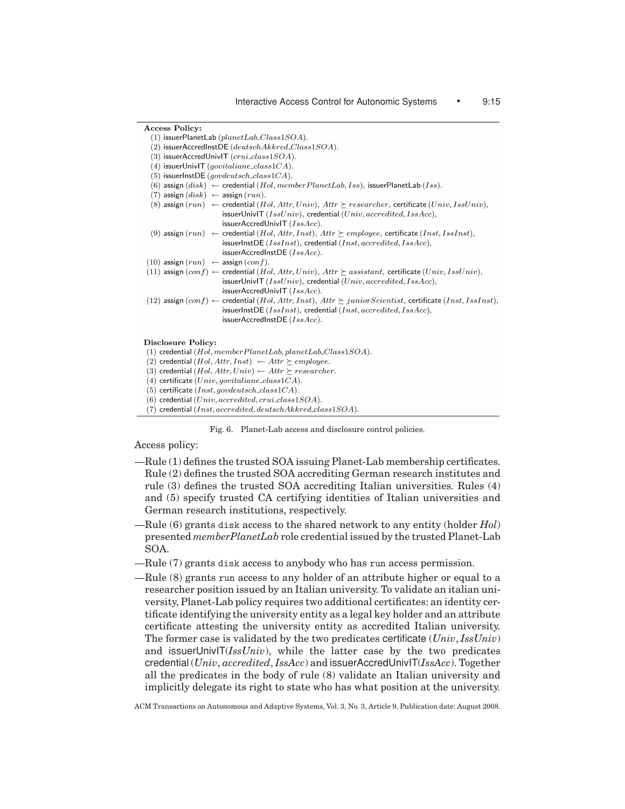**Access Policy:** 

- $(1)$  issuerPlanetLab ( $planetLab\_Class1SOA$ ).
- (2) issuerAccredInstDE (deutschAkkred\_Class1SOA).
- (3) issuerAccredUnivIT (crui\_class1SOA).
- (4) issuerUnivIT  $(govitaliane\_class1CA)$ .
- $(5)$  issuerInstDE (govdeutsch\_class1CA).
- (6) assign  $(disk) \leftarrow$  credential  $(Hol, memberPlanetLab, Iss)$ , issuerPlanetLab  $(Iss)$ .
- (7) assign  $(disk) \leftarrow \text{assign}(run)$ .
- (8) assign  $(run) \leftarrow$  credential  $(Hol, Attr, Univ), Attr \succ researcher$ , certificate  $(Univ, IssUniv)$ , issuerUnivIT ( $IssUniv$ ), credential ( $Univ$ , accredited,  $IssAcc$ ), issuerAccredUnivIT (IssAcc). (9) assign  $(run) \leftarrow$  credential  $(Hol, Attr, Inst), Attr \succeq employee$ , certificate  $(Inst, IssInst)$ , issuerInstDE ( $IssInst$ ), credential ( $Inst, accredicted, IssAcc$ ), issuerAccredInstDE  $(IssAcc)$ . (10) assign  $(run) \leftarrow$  assign  $(conf)$ . (11) assign  $(conf) \leftarrow$  credential  $(Hol, Attr, Univ), Attr \succeq assistant$ , certificate  $(Univ, IssUniv)$ , issuerUnivIT  $(IssUniv)$ , credential  $(Univ, accrelated, IssAcc)$ ,
- issuerAccredUnivIT (IssAcc). (12) assign  $(conf) \leftarrow$  credential  $(Hol, Attr, Inst), Attr \geq juniorScientist, certificate (Inst, IssInst),$ issuerInstDE  $(IssInst)$ , credential  $(Inst, accredicted, IssAcc)$ , issuerAccredInstDE  $(IssAcc)$ .

#### **Disclosure Policy:**

- $(1)$  credential (Hol, member PlanetLab, planetLab\_Class1SOA).
- (2) credential  $(Hol, Attr, Inst) \leftarrow Attr \succeq employee.$
- (3) credential  $(Hol, Attr, Univ) \leftarrow Attr \geq researcher$ .
- (4) certificate  $(Univ, govitaliane\_class1CA)$ .
- (5) certificate  $(Inst, govdeutsch\_class1CA)$ .
- $(6)$  credential  $(Univ, accrelated, crui\_class1SOA).$
- $(7)$  credential (*Inst. accredited. deutsch Akkred\_class1SOA*).

Fig. 6. Planet-Lab access and disclosure control policies.

Access policy:

- —Rule (1) defines the trusted SOA issuing Planet-Lab membership certificates. Rule (2) defines the trusted SOA accrediting German research institutes and rule (3) defines the trusted SOA accrediting Italian universities. Rules (4) and (5) specify trusted CA certifying identities of Italian universities and German research institutions, respectively.
- —Rule (6) grants disk access to the shared network to any entity (holder *Hol*) presented *memberPlanetLab* role credential issued by the trusted Planet-Lab SOA.
- —Rule (7) grants disk access to anybody who has run access permission.
- —Rule (8) grants run access to any holder of an attribute higher or equal to a researcher position issued by an Italian university. To validate an italian university, Planet-Lab policy requires two additional certificates: an identity certificate identifying the university entity as a legal key holder and an attribute certificate attesting the university entity as accredited Italian university. The former case is validated by the two predicates certificate (*Univ*, *IssUniv*) and issuerUnivIT(*IssUniv*), while the latter case by the two predicates credential (*Univ*, *accredited*, *IssAcc*) and issuerAccredUnivIT(*IssAcc*). Together all the predicates in the body of rule (8) validate an Italian university and implicitly delegate its right to state who has what position at the university.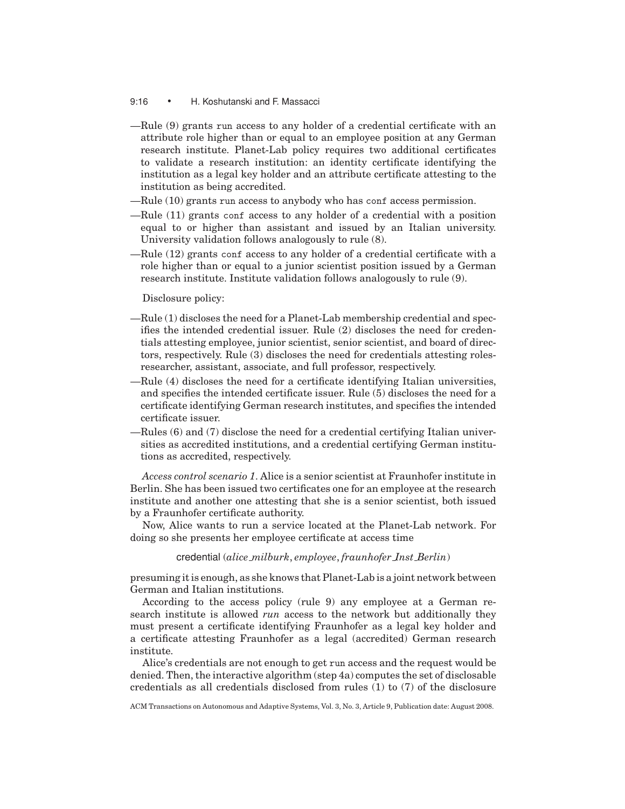## 9:16 • H. Koshutanski and F. Massacci

- —Rule (9) grants run access to any holder of a credential certificate with an attribute role higher than or equal to an employee position at any German research institute. Planet-Lab policy requires two additional certificates to validate a research institution: an identity certificate identifying the institution as a legal key holder and an attribute certificate attesting to the institution as being accredited.
- —Rule (10) grants run access to anybody who has conf access permission.
- —Rule (11) grants conf access to any holder of a credential with a position equal to or higher than assistant and issued by an Italian university. University validation follows analogously to rule (8).
- —Rule (12) grants conf access to any holder of a credential certificate with a role higher than or equal to a junior scientist position issued by a German research institute. Institute validation follows analogously to rule (9).

Disclosure policy:

- —Rule (1) discloses the need for a Planet-Lab membership credential and specifies the intended credential issuer. Rule (2) discloses the need for credentials attesting employee, junior scientist, senior scientist, and board of directors, respectively. Rule (3) discloses the need for credentials attesting rolesresearcher, assistant, associate, and full professor, respectively.
- —Rule (4) discloses the need for a certificate identifying Italian universities, and specifies the intended certificate issuer. Rule (5) discloses the need for a certificate identifying German research institutes, and specifies the intended certificate issuer.
- —Rules (6) and (7) disclose the need for a credential certifying Italian universities as accredited institutions, and a credential certifying German institutions as accredited, respectively.

*Access control scenario 1*. Alice is a senior scientist at Fraunhofer institute in Berlin. She has been issued two certificates one for an employee at the research institute and another one attesting that she is a senior scientist, both issued by a Fraunhofer certificate authority.

Now, Alice wants to run a service located at the Planet-Lab network. For doing so she presents her employee certificate at access time

## credential (*alice milburk*, *employee*, *fraunhofer Inst Berlin*)

presuming it is enough, as she knows that Planet-Lab is a joint network between German and Italian institutions.

According to the access policy (rule 9) any employee at a German research institute is allowed *run* access to the network but additionally they must present a certificate identifying Fraunhofer as a legal key holder and a certificate attesting Fraunhofer as a legal (accredited) German research institute.

Alice's credentials are not enough to get run access and the request would be denied. Then, the interactive algorithm (step 4a) computes the set of disclosable credentials as all credentials disclosed from rules (1) to (7) of the disclosure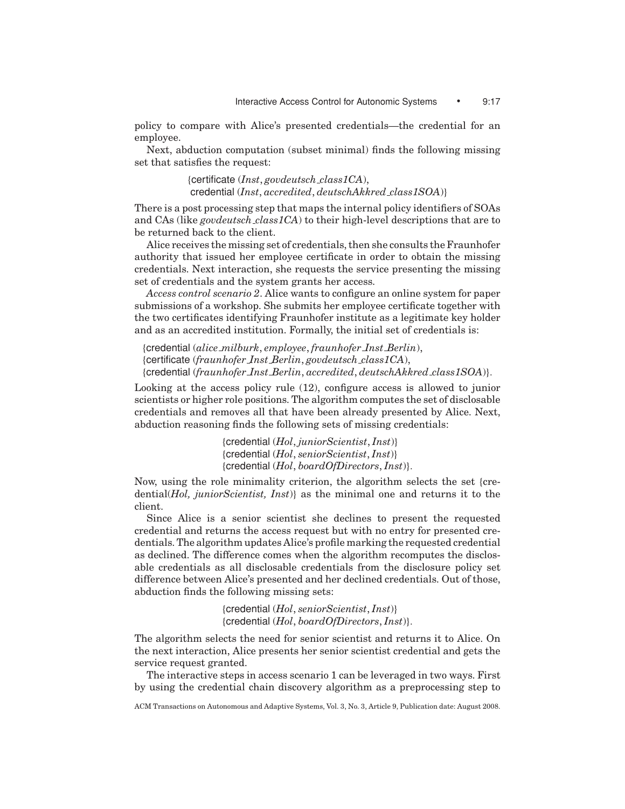policy to compare with Alice's presented credentials—the credential for an employee.

Next, abduction computation (subset minimal) finds the following missing set that satisfies the request:

> {certificate (*Inst*, *govdeutsch class1CA*), credential (*Inst*, *accredited*, *deutschAkkred class1SOA*)}

There is a post processing step that maps the internal policy identifiers of SOAs and CAs (like *govdeutsch class1CA*) to their high-level descriptions that are to be returned back to the client.

Alice receives the missing set of credentials, then she consults the Fraunhofer authority that issued her employee certificate in order to obtain the missing credentials. Next interaction, she requests the service presenting the missing set of credentials and the system grants her access.

*Access control scenario 2*. Alice wants to configure an online system for paper submissions of a workshop. She submits her employee certificate together with the two certificates identifying Fraunhofer institute as a legitimate key holder and as an accredited institution. Formally, the initial set of credentials is:

{credential (*alice milburk*, *employee*, *fraunhofer Inst Berlin*), {certificate (*fraunhofer Inst Berlin*, *govdeutsch class1CA*), {credential (*fraunhofer Inst Berlin*, *accredited*, *deutschAkkred class1SOA*)}.

Looking at the access policy rule (12), configure access is allowed to junior scientists or higher role positions. The algorithm computes the set of disclosable credentials and removes all that have been already presented by Alice. Next, abduction reasoning finds the following sets of missing credentials:

> {credential (*Hol*, *juniorScientist*, *Inst*)} {credential (*Hol*, *seniorScientist*, *Inst*)} {credential (*Hol*, *boardOfDirectors*, *Inst*)}.

Now, using the role minimality criterion, the algorithm selects the set {credential(*Hol, juniorScientist, Inst*)} as the minimal one and returns it to the client.

Since Alice is a senior scientist she declines to present the requested credential and returns the access request but with no entry for presented credentials. The algorithm updates Alice's profile marking the requested credential as declined. The difference comes when the algorithm recomputes the disclosable credentials as all disclosable credentials from the disclosure policy set difference between Alice's presented and her declined credentials. Out of those, abduction finds the following missing sets:

> {credential (*Hol*, *seniorScientist*, *Inst*)} {credential (*Hol*, *boardOfDirectors*, *Inst*)}.

The algorithm selects the need for senior scientist and returns it to Alice. On the next interaction, Alice presents her senior scientist credential and gets the service request granted.

The interactive steps in access scenario 1 can be leveraged in two ways. First by using the credential chain discovery algorithm as a preprocessing step to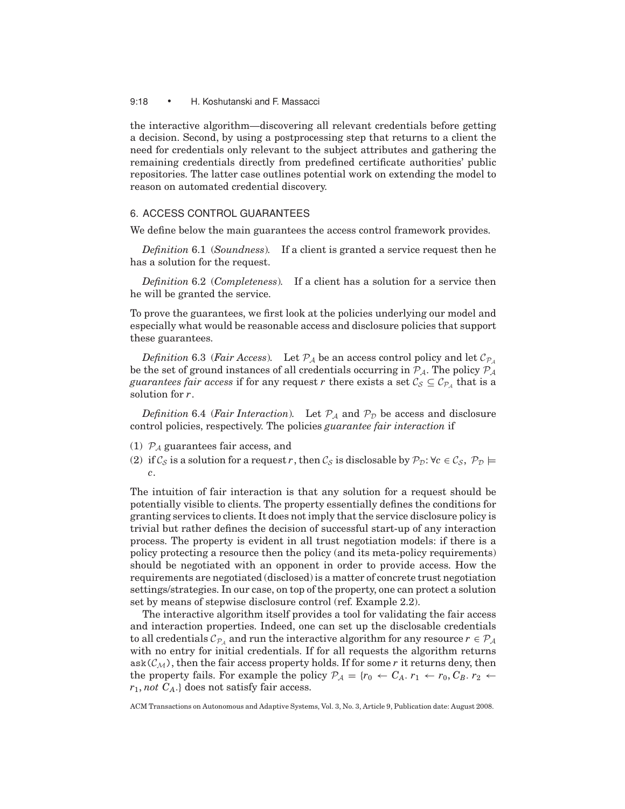## 9:18 • H. Koshutanski and F. Massacci

the interactive algorithm—discovering all relevant credentials before getting a decision. Second, by using a postprocessing step that returns to a client the need for credentials only relevant to the subject attributes and gathering the remaining credentials directly from predefined certificate authorities' public repositories. The latter case outlines potential work on extending the model to reason on automated credential discovery.

## 6. ACCESS CONTROL GUARANTEES

We define below the main guarantees the access control framework provides.

*Definition* 6.1 (*Soundness*)*.* If a client is granted a service request then he has a solution for the request.

*Definition* 6.2 (*Completeness*)*.* If a client has a solution for a service then he will be granted the service.

To prove the guarantees, we first look at the policies underlying our model and especially what would be reasonable access and disclosure policies that support these guarantees.

*Definition* 6.3 (*Fair Access*). Let  $P_A$  be an access control policy and let  $C_{P_A}$ be the set of ground instances of all credentials occurring in  $P_A$ . The policy  $P_A$ *guarantees fair access* if for any request *r* there exists a set  $\mathcal{C}_{\mathcal{S}} \subseteq \mathcal{C}_{\mathcal{P}_A}$  that is a solution for *r*.

*Definition* 6.4 (*Fair Interaction*). Let  $P_A$  and  $P_D$  be access and disclosure control policies, respectively. The policies *guarantee fair interaction* if

- (1)  $P_A$  guarantees fair access, and
- (2) if  $\mathcal{C}_{\mathcal{S}}$  is a solution for a request *r*, then  $\mathcal{C}_{\mathcal{S}}$  is disclosable by  $\mathcal{P}_{\mathcal{D}}$ :  $\forall c \in \mathcal{C}_{\mathcal{S}}$ ,  $\mathcal{P}_{\mathcal{D}}$   $\models$ *c*.

The intuition of fair interaction is that any solution for a request should be potentially visible to clients. The property essentially defines the conditions for granting services to clients. It does not imply that the service disclosure policy is trivial but rather defines the decision of successful start-up of any interaction process. The property is evident in all trust negotiation models: if there is a policy protecting a resource then the policy (and its meta-policy requirements) should be negotiated with an opponent in order to provide access. How the requirements are negotiated (disclosed) is a matter of concrete trust negotiation settings/strategies. In our case, on top of the property, one can protect a solution set by means of stepwise disclosure control (ref. Example 2.2).

The interactive algorithm itself provides a tool for validating the fair access and interaction properties. Indeed, one can set up the disclosable credentials to all credentials  $\mathcal{C}_{\mathcal{P}_A}$  and run the interactive algorithm for any resource  $r \in \mathcal{P}_A$ with no entry for initial credentials. If for all requests the algorithm returns ask( $\mathcal{C}_{\mathcal{M}}$ ), then the fair access property holds. If for some *r* it returns deny, then the property fails. For example the policy  $\mathcal{P}_{A} = \{r_0 \leftarrow C_A, r_1 \leftarrow r_0, C_B, r_2 \leftarrow r_1\}$ *r*1, *not CA*.} does not satisfy fair access.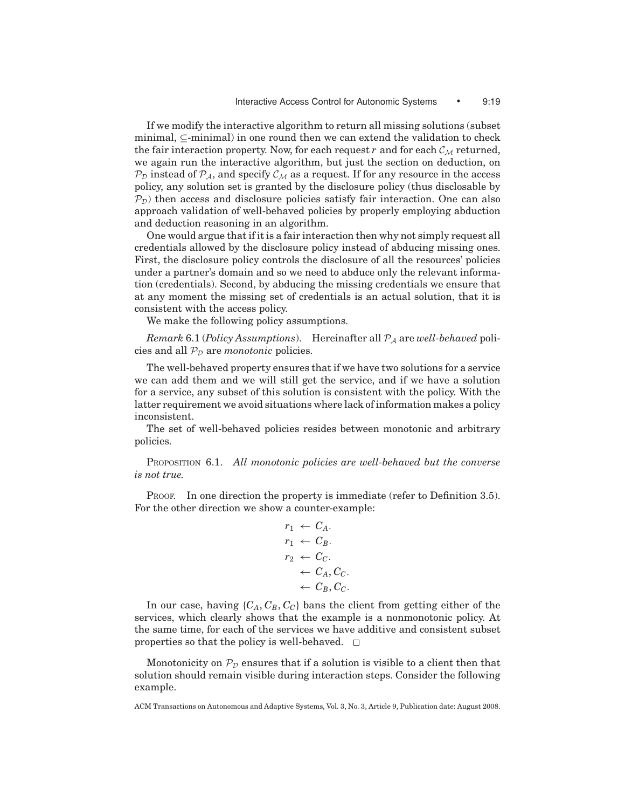If we modify the interactive algorithm to return all missing solutions (subset minimal, ⊆-minimal) in one round then we can extend the validation to check the fair interaction property. Now, for each request *r* and for each  $\mathcal{C}_M$  returned, we again run the interactive algorithm, but just the section on deduction, on  $\mathcal{P}_\mathcal{D}$  instead of  $\mathcal{P}_\mathcal{A}$ , and specify  $\mathcal{C}_\mathcal{M}$  as a request. If for any resource in the access policy, any solution set is granted by the disclosure policy (thus disclosable by  $\mathcal{P}_D$ ) then access and disclosure policies satisfy fair interaction. One can also approach validation of well-behaved policies by properly employing abduction and deduction reasoning in an algorithm.

One would argue that if it is a fair interaction then why not simply request all credentials allowed by the disclosure policy instead of abducing missing ones. First, the disclosure policy controls the disclosure of all the resources' policies under a partner's domain and so we need to abduce only the relevant information (credentials). Second, by abducing the missing credentials we ensure that at any moment the missing set of credentials is an actual solution, that it is consistent with the access policy.

We make the following policy assumptions.

*Remark* 6.1 (*Policy Assumptions*). Hereinafter all  $P_A$  are *well-behaved* policies and all  $\mathcal{P}_\mathcal{D}$  are *monotonic* policies.

The well-behaved property ensures that if we have two solutions for a service we can add them and we will still get the service, and if we have a solution for a service, any subset of this solution is consistent with the policy. With the latter requirement we avoid situations where lack of information makes a policy inconsistent.

The set of well-behaved policies resides between monotonic and arbitrary policies.

PROPOSITION 6.1. *All monotonic policies are well-behaved but the converse is not true.*

PROOF. In one direction the property is immediate (refer to Definition 3.5). For the other direction we show a counter-example:

$$
r_1 \leftarrow C_A.
$$
  
\n
$$
r_1 \leftarrow C_B.
$$
  
\n
$$
r_2 \leftarrow C_C.
$$
  
\n
$$
\leftarrow C_A, C_C.
$$
  
\n
$$
\leftarrow C_B, C_C.
$$

In our case, having  $\{C_A, C_B, C_C\}$  bans the client from getting either of the services, which clearly shows that the example is a nonmonotonic policy. At the same time, for each of the services we have additive and consistent subset properties so that the policy is well-behaved.  $\square$ 

Monotonicity on  $\mathcal{P}_{\mathcal{D}}$  ensures that if a solution is visible to a client then that solution should remain visible during interaction steps. Consider the following example.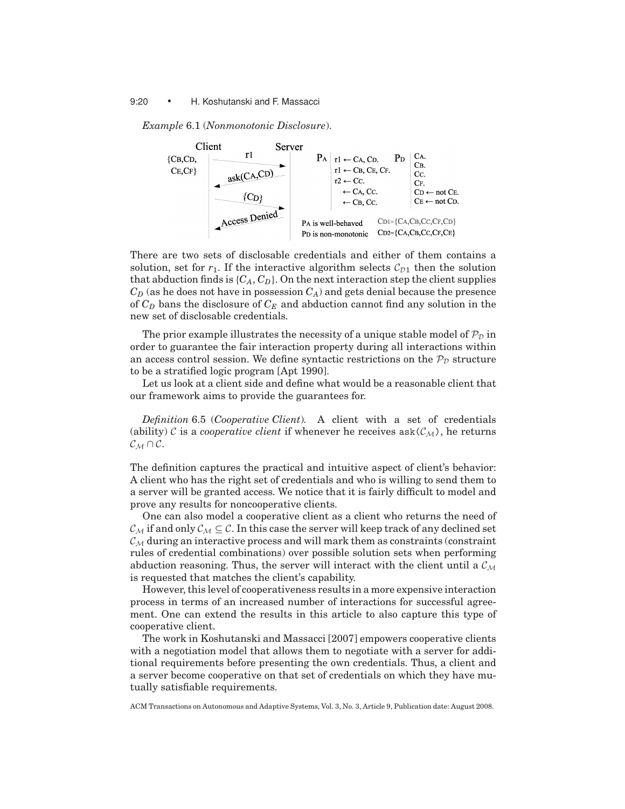#### 9:20 • H. Koshutanski and F. Massacci

*Example* 6.1 (*Nonmonotonic Disclosure*).



There are two sets of disclosable credentials and either of them contains a solution, set for  $r_1$ . If the interactive algorithm selects  $\mathcal{C}_{D_1}$  then the solution that abduction finds is  $\{C_A, C_B\}$ . On the next interaction step the client supplies  $C_D$  (as he does not have in possession  $C_A$ ) and gets denial because the presence of  $C_D$  bans the disclosure of  $C_E$  and abduction cannot find any solution in the new set of disclosable credentials.

The prior example illustrates the necessity of a unique stable model of  $\mathcal{P}_D$  in order to guarantee the fair interaction property during all interactions within an access control session. We define syntactic restrictions on the  $P<sub>D</sub>$  structure to be a stratified logic program [Apt 1990].

Let us look at a client side and define what would be a reasonable client that our framework aims to provide the guarantees for.

*Definition* 6.5 (*Cooperative Client*)*.* A client with a set of credentials (ability) C is a *cooperative client* if whenever he receives  $ask(\mathcal{C}_M)$ , he returns  $\mathcal{C}_\mathcal{M} \cap \mathcal{C}.$ 

The definition captures the practical and intuitive aspect of client's behavior: A client who has the right set of credentials and who is willing to send them to a server will be granted access. We notice that it is fairly difficult to model and prove any results for noncooperative clients.

One can also model a cooperative client as a client who returns the need of  $\mathcal{C}_{\mathcal{M}}$  if and only  $\mathcal{C}_{\mathcal{M}} \subseteq \mathcal{C}$ . In this case the server will keep track of any declined set  $\mathcal{C}_M$  during an interactive process and will mark them as constraints (constraint rules of credential combinations) over possible solution sets when performing abduction reasoning. Thus, the server will interact with the client until a  $\mathcal{C}_M$ is requested that matches the client's capability.

However, this level of cooperativeness results in a more expensive interaction process in terms of an increased number of interactions for successful agreement. One can extend the results in this article to also capture this type of cooperative client.

The work in Koshutanski and Massacci [2007] empowers cooperative clients with a negotiation model that allows them to negotiate with a server for additional requirements before presenting the own credentials. Thus, a client and a server become cooperative on that set of credentials on which they have mutually satisfiable requirements.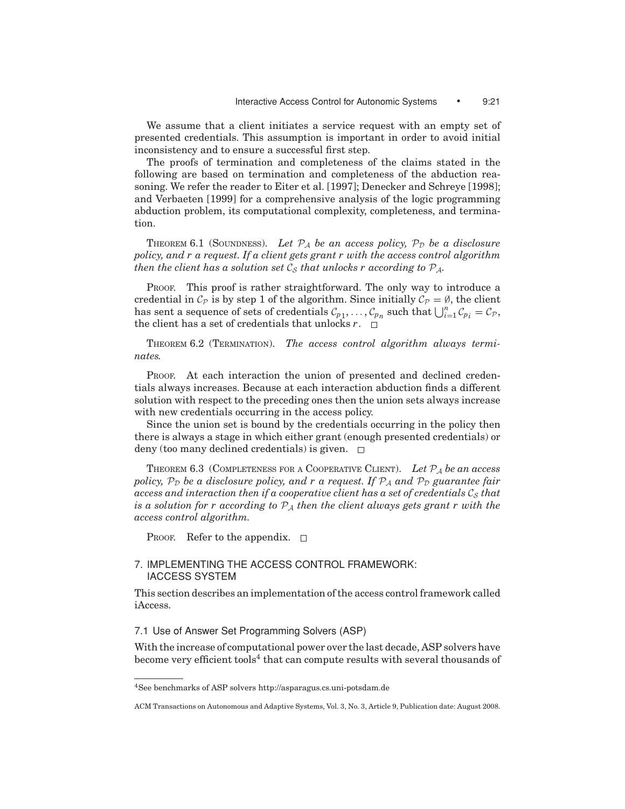We assume that a client initiates a service request with an empty set of presented credentials. This assumption is important in order to avoid initial inconsistency and to ensure a successful first step.

The proofs of termination and completeness of the claims stated in the following are based on termination and completeness of the abduction reasoning. We refer the reader to Eiter et al. [1997]; Denecker and Schreye [1998]; and Verbaeten [1999] for a comprehensive analysis of the logic programming abduction problem, its computational complexity, completeness, and termination.

THEOREM 6.1 (SOUNDNESS). Let  $P_A$  be an access policy,  $P_D$  be a disclosure *policy, and r a request. If a client gets grant r with the access control algorithm then the client has a solution set*  $\mathcal{C}_{\mathcal{S}}$  *that unlocks r according to*  $\mathcal{P}_{\mathcal{A}}$ *.* 

PROOF. This proof is rather straightforward. The only way to introduce a credential in  $C_{\mathcal{P}}$  is by step 1 of the algorithm. Since initially  $C_{\mathcal{P}} = \emptyset$ , the client has sent a sequence of sets of credentials  $C_{p_1}, \ldots, C_{p_n}$  such that  $\bigcup_{i=1}^n C_{p_i} = C_{p}$ , the client has a set of credentials that unlocks  $r$ .  $\Box$ 

THEOREM 6.2 (TERMINATION). *The access control algorithm always terminates.*

PROOF. At each interaction the union of presented and declined credentials always increases. Because at each interaction abduction finds a different solution with respect to the preceding ones then the union sets always increase with new credentials occurring in the access policy.

Since the union set is bound by the credentials occurring in the policy then there is always a stage in which either grant (enough presented credentials) or deny (too many declined credentials) is given.  $\Box$ 

THEOREM 6.3 (COMPLETENESS FOR A COOPERATIVE CLIENT). Let  $P_A$  be an access *policy,*  $P_D$  *be a disclosure policy, and r a request. If*  $P_A$  *and*  $P_D$  *guarantee fair access and interaction then if a cooperative client has a set of credentials*  $\mathcal{C}_{\mathcal{S}}$  *that is a solution for r according to*  $P_A$  *then the client always gets grant r with the access control algorithm.*

PROOF. Refer to the appendix.  $\square$ 

## 7. IMPLEMENTING THE ACCESS CONTROL FRAMEWORK: IACCESS SYSTEM

This section describes an implementation of the access control framework called iAccess.

## 7.1 Use of Answer Set Programming Solvers (ASP)

With the increase of computational power over the last decade, ASP solvers have become very efficient tools<sup>4</sup> that can compute results with several thousands of

<sup>4</sup>See benchmarks of ASP solvers http://asparagus.cs.uni-potsdam.de

ACM Transactions on Autonomous and Adaptive Systems, Vol. 3, No. 3, Article 9, Publication date: August 2008.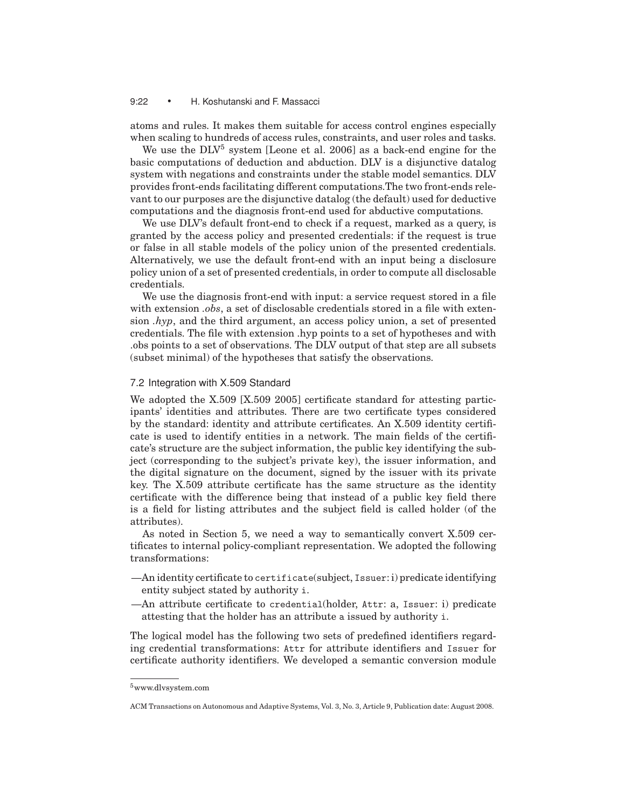# 9:22 • H. Koshutanski and F. Massacci

atoms and rules. It makes them suitable for access control engines especially when scaling to hundreds of access rules, constraints, and user roles and tasks.

We use the DLV<sup>5</sup> system [Leone et al. 2006] as a back-end engine for the basic computations of deduction and abduction. DLV is a disjunctive datalog system with negations and constraints under the stable model semantics. DLV provides front-ends facilitating different computations.The two front-ends relevant to our purposes are the disjunctive datalog (the default) used for deductive computations and the diagnosis front-end used for abductive computations.

We use DLV's default front-end to check if a request, marked as a query, is granted by the access policy and presented credentials: if the request is true or false in all stable models of the policy union of the presented credentials. Alternatively, we use the default front-end with an input being a disclosure policy union of a set of presented credentials, in order to compute all disclosable credentials.

We use the diagnosis front-end with input: a service request stored in a file with extension *.obs*, a set of disclosable credentials stored in a file with extension *.hyp*, and the third argument, an access policy union, a set of presented credentials. The file with extension .hyp points to a set of hypotheses and with .obs points to a set of observations. The DLV output of that step are all subsets (subset minimal) of the hypotheses that satisfy the observations.

## 7.2 Integration with X.509 Standard

We adopted the X.509 [X.509 2005] certificate standard for attesting participants' identities and attributes. There are two certificate types considered by the standard: identity and attribute certificates. An X.509 identity certificate is used to identify entities in a network. The main fields of the certificate's structure are the subject information, the public key identifying the subject (corresponding to the subject's private key), the issuer information, and the digital signature on the document, signed by the issuer with its private key. The X.509 attribute certificate has the same structure as the identity certificate with the difference being that instead of a public key field there is a field for listing attributes and the subject field is called holder (of the attributes).

As noted in Section 5, we need a way to semantically convert X.509 certificates to internal policy-compliant representation. We adopted the following transformations:

- —An identity certificate to certificate(subject, Issuer: i) predicate identifying entity subject stated by authority i.
- —An attribute certificate to credential(holder, Attr: a, Issuer: i) predicate attesting that the holder has an attribute a issued by authority i.

The logical model has the following two sets of predefined identifiers regarding credential transformations: Attr for attribute identifiers and Issuer for certificate authority identifiers. We developed a semantic conversion module

<sup>5</sup>www.dlvsystem.com

ACM Transactions on Autonomous and Adaptive Systems, Vol. 3, No. 3, Article 9, Publication date: August 2008.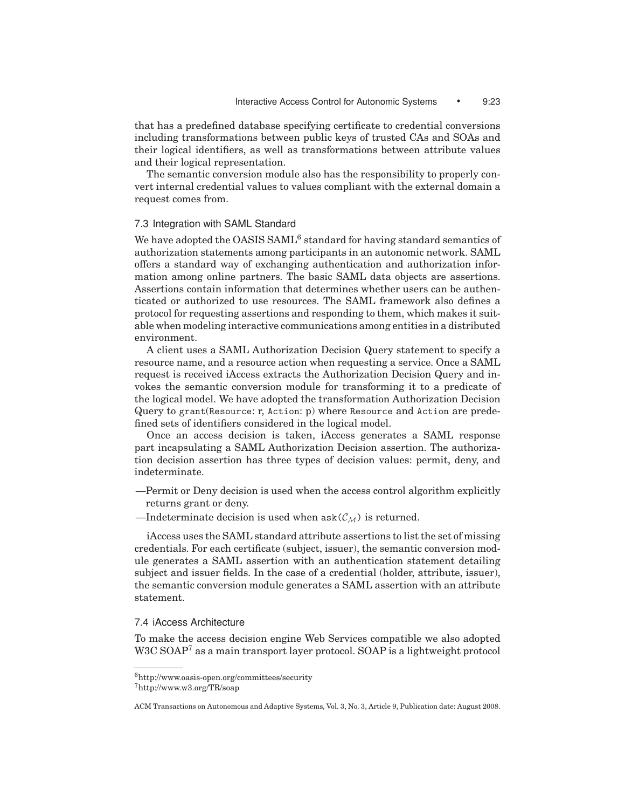that has a predefined database specifying certificate to credential conversions including transformations between public keys of trusted CAs and SOAs and their logical identifiers, as well as transformations between attribute values and their logical representation.

The semantic conversion module also has the responsibility to properly convert internal credential values to values compliant with the external domain a request comes from.

# 7.3 Integration with SAML Standard

We have adopted the  $OASIS SAML<sup>6</sup>$  standard for having standard semantics of authorization statements among participants in an autonomic network. SAML offers a standard way of exchanging authentication and authorization information among online partners. The basic SAML data objects are assertions. Assertions contain information that determines whether users can be authenticated or authorized to use resources. The SAML framework also defines a protocol for requesting assertions and responding to them, which makes it suitable when modeling interactive communications among entities in a distributed environment.

A client uses a SAML Authorization Decision Query statement to specify a resource name, and a resource action when requesting a service. Once a SAML request is received iAccess extracts the Authorization Decision Query and invokes the semantic conversion module for transforming it to a predicate of the logical model. We have adopted the transformation Authorization Decision Query to grant(Resource: r, Action: p) where Resource and Action are predefined sets of identifiers considered in the logical model.

Once an access decision is taken, iAccess generates a SAML response part incapsulating a SAML Authorization Decision assertion. The authorization decision assertion has three types of decision values: permit, deny, and indeterminate.

- —Permit or Deny decision is used when the access control algorithm explicitly returns grant or deny.
- —Indeterminate decision is used when  $ask(\mathcal{C}_M)$  is returned.

iAccess uses the SAML standard attribute assertions to list the set of missing credentials. For each certificate (subject, issuer), the semantic conversion module generates a SAML assertion with an authentication statement detailing subject and issuer fields. In the case of a credential (holder, attribute, issuer), the semantic conversion module generates a SAML assertion with an attribute statement.

## 7.4 iAccess Architecture

To make the access decision engine Web Services compatible we also adopted W3C SOAP<sup>7</sup> as a main transport layer protocol. SOAP is a lightweight protocol

<sup>6</sup>http://www.oasis-open.org/committees/security

<sup>7</sup>http://www.w3.org/TR/soap

ACM Transactions on Autonomous and Adaptive Systems, Vol. 3, No. 3, Article 9, Publication date: August 2008.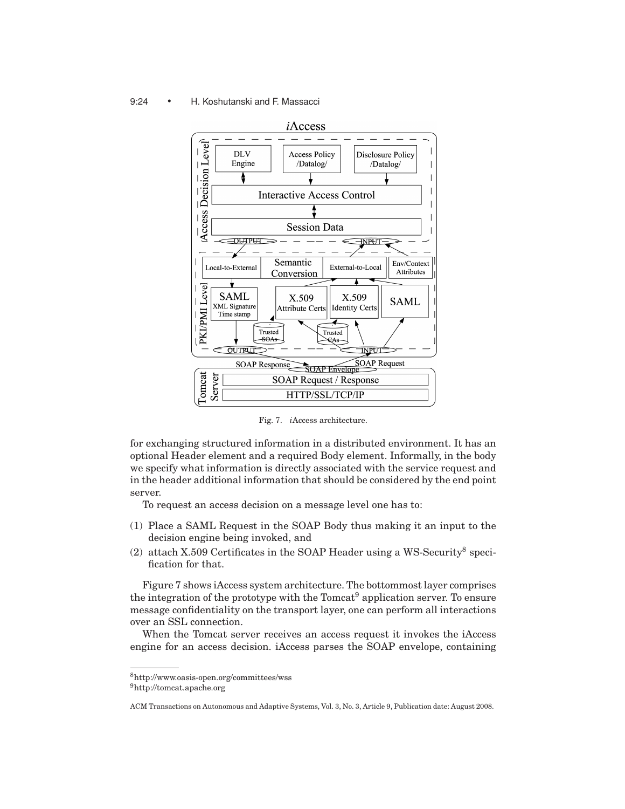## 9:24 • H. Koshutanski and F. Massacci



Fig. 7. *i*Access architecture.

for exchanging structured information in a distributed environment. It has an optional Header element and a required Body element. Informally, in the body we specify what information is directly associated with the service request and in the header additional information that should be considered by the end point server.

To request an access decision on a message level one has to:

- (1) Place a SAML Request in the SOAP Body thus making it an input to the decision engine being invoked, and
- (2) attach X.509 Certificates in the SOAP Header using a WS-Security<sup>8</sup> specification for that.

Figure 7 shows iAccess system architecture. The bottommost layer comprises the integration of the prototype with the  $Tomcat<sup>9</sup>$  application server. To ensure message confidentiality on the transport layer, one can perform all interactions over an SSL connection.

When the Tomcat server receives an access request it invokes the iAccess engine for an access decision. iAccess parses the SOAP envelope, containing

<sup>8</sup>http://www.oasis-open.org/committees/wss

<sup>9</sup>http://tomcat.apache.org

ACM Transactions on Autonomous and Adaptive Systems, Vol. 3, No. 3, Article 9, Publication date: August 2008.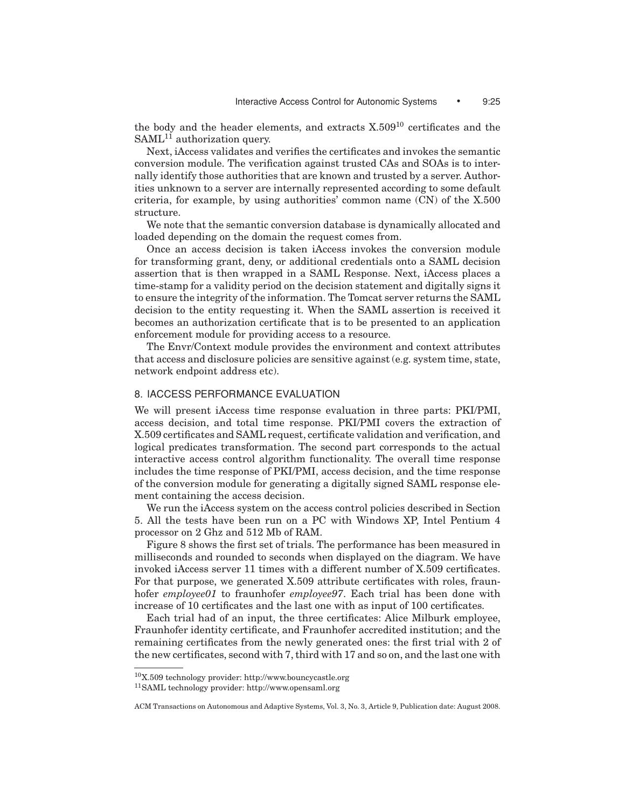the body and the header elements, and extracts  $X.509<sup>10</sup>$  certificates and the  $SAML<sup>11</sup>$  authorization query.

Next, iAccess validates and verifies the certificates and invokes the semantic conversion module. The verification against trusted CAs and SOAs is to internally identify those authorities that are known and trusted by a server. Authorities unknown to a server are internally represented according to some default criteria, for example, by using authorities' common name (CN) of the X.500 structure.

We note that the semantic conversion database is dynamically allocated and loaded depending on the domain the request comes from.

Once an access decision is taken iAccess invokes the conversion module for transforming grant, deny, or additional credentials onto a SAML decision assertion that is then wrapped in a SAML Response. Next, iAccess places a time-stamp for a validity period on the decision statement and digitally signs it to ensure the integrity of the information. The Tomcat server returns the SAML decision to the entity requesting it. When the SAML assertion is received it becomes an authorization certificate that is to be presented to an application enforcement module for providing access to a resource.

The Envr/Context module provides the environment and context attributes that access and disclosure policies are sensitive against (e.g. system time, state, network endpoint address etc).

# 8. IACCESS PERFORMANCE EVALUATION

We will present iAccess time response evaluation in three parts: PKI/PMI, access decision, and total time response. PKI/PMI covers the extraction of X.509 certificates and SAML request, certificate validation and verification, and logical predicates transformation. The second part corresponds to the actual interactive access control algorithm functionality. The overall time response includes the time response of PKI/PMI, access decision, and the time response of the conversion module for generating a digitally signed SAML response element containing the access decision.

We run the iAccess system on the access control policies described in Section 5. All the tests have been run on a PC with Windows XP, Intel Pentium 4 processor on 2 Ghz and 512 Mb of RAM.

Figure 8 shows the first set of trials. The performance has been measured in milliseconds and rounded to seconds when displayed on the diagram. We have invoked iAccess server 11 times with a different number of X.509 certificates. For that purpose, we generated X.509 attribute certificates with roles, fraunhofer *employee01* to fraunhofer *employee97*. Each trial has been done with increase of 10 certificates and the last one with as input of 100 certificates.

Each trial had of an input, the three certificates: Alice Milburk employee, Fraunhofer identity certificate, and Fraunhofer accredited institution; and the remaining certificates from the newly generated ones: the first trial with 2 of the new certificates, second with 7, third with 17 and so on, and the last one with

 $10X.509$  technology provider: http://www.bouncycastle.org

<sup>11</sup>SAML technology provider: http://www.opensaml.org

ACM Transactions on Autonomous and Adaptive Systems, Vol. 3, No. 3, Article 9, Publication date: August 2008.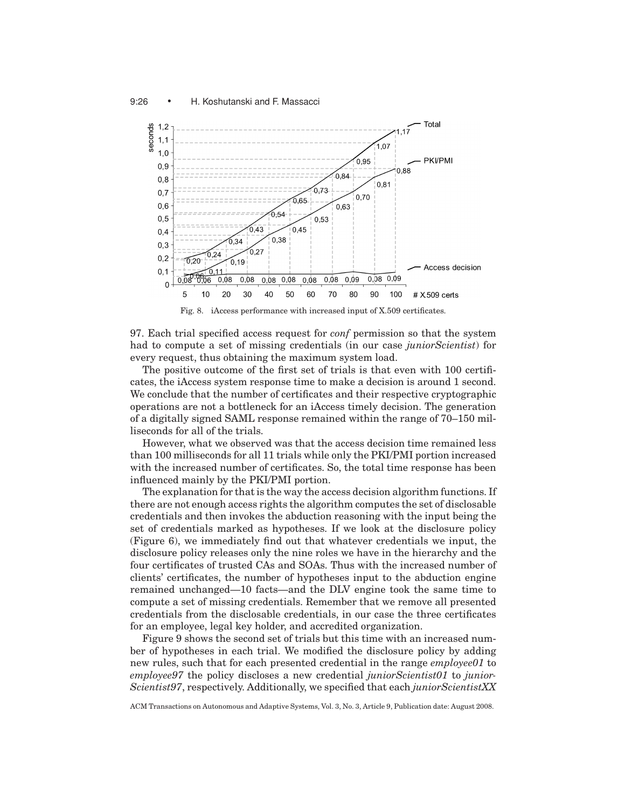



Fig. 8. iAccess performance with increased input of X.509 certificates.

97. Each trial specified access request for *conf* permission so that the system had to compute a set of missing credentials (in our case *juniorScientist*) for every request, thus obtaining the maximum system load.

The positive outcome of the first set of trials is that even with 100 certificates, the iAccess system response time to make a decision is around 1 second. We conclude that the number of certificates and their respective cryptographic operations are not a bottleneck for an iAccess timely decision. The generation of a digitally signed SAML response remained within the range of 70–150 milliseconds for all of the trials.

However, what we observed was that the access decision time remained less than 100 milliseconds for all 11 trials while only the PKI/PMI portion increased with the increased number of certificates. So, the total time response has been influenced mainly by the PKI/PMI portion.

The explanation for that is the way the access decision algorithm functions. If there are not enough access rights the algorithm computes the set of disclosable credentials and then invokes the abduction reasoning with the input being the set of credentials marked as hypotheses. If we look at the disclosure policy (Figure 6), we immediately find out that whatever credentials we input, the disclosure policy releases only the nine roles we have in the hierarchy and the four certificates of trusted CAs and SOAs. Thus with the increased number of clients' certificates, the number of hypotheses input to the abduction engine remained unchanged—10 facts—and the DLV engine took the same time to compute a set of missing credentials. Remember that we remove all presented credentials from the disclosable credentials, in our case the three certificates for an employee, legal key holder, and accredited organization.

Figure 9 shows the second set of trials but this time with an increased number of hypotheses in each trial. We modified the disclosure policy by adding new rules, such that for each presented credential in the range *employee01* to *employee97* the policy discloses a new credential *juniorScientist01* to *junior-Scientist97*, respectively. Additionally, we specified that each *juniorScientistXX*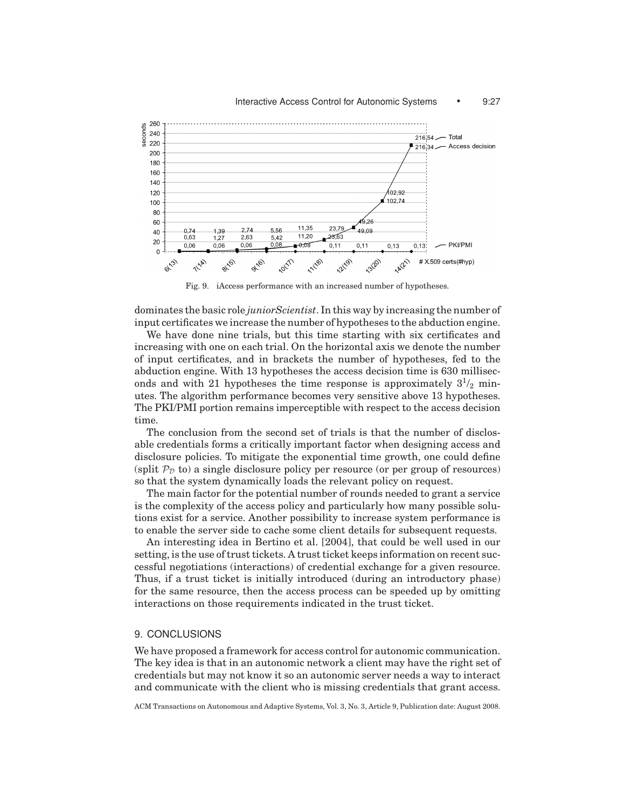

Fig. 9. iAccess performance with an increased number of hypotheses.

dominates the basic role *juniorScientist*. In this way by increasing the number of input certificates we increase the number of hypotheses to the abduction engine.

We have done nine trials, but this time starting with six certificates and increasing with one on each trial. On the horizontal axis we denote the number of input certificates, and in brackets the number of hypotheses, fed to the abduction engine. With 13 hypotheses the access decision time is 630 milliseconds and with 21 hypotheses the time response is approximately  $3^{1/2}$  minutes. The algorithm performance becomes very sensitive above 13 hypotheses. The PKI/PMI portion remains imperceptible with respect to the access decision time.

The conclusion from the second set of trials is that the number of disclosable credentials forms a critically important factor when designing access and disclosure policies. To mitigate the exponential time growth, one could define (split  $\mathcal{P}_\mathcal{D}$  to) a single disclosure policy per resource (or per group of resources) so that the system dynamically loads the relevant policy on request.

The main factor for the potential number of rounds needed to grant a service is the complexity of the access policy and particularly how many possible solutions exist for a service. Another possibility to increase system performance is to enable the server side to cache some client details for subsequent requests.

An interesting idea in Bertino et al. [2004], that could be well used in our setting, is the use of trust tickets. A trust ticket keeps information on recent successful negotiations (interactions) of credential exchange for a given resource. Thus, if a trust ticket is initially introduced (during an introductory phase) for the same resource, then the access process can be speeded up by omitting interactions on those requirements indicated in the trust ticket.

## 9. CONCLUSIONS

We have proposed a framework for access control for autonomic communication. The key idea is that in an autonomic network a client may have the right set of credentials but may not know it so an autonomic server needs a way to interact and communicate with the client who is missing credentials that grant access.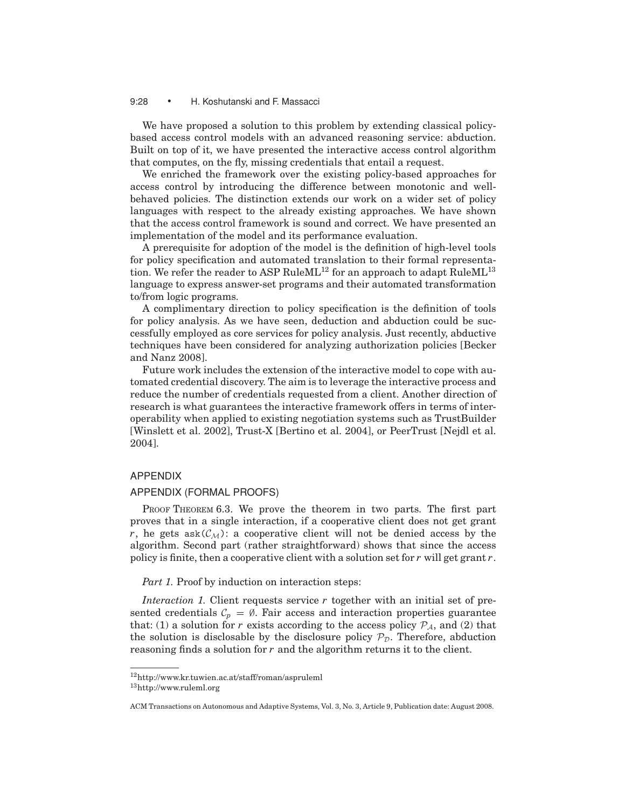## 9:28 • H. Koshutanski and F. Massacci

We have proposed a solution to this problem by extending classical policybased access control models with an advanced reasoning service: abduction. Built on top of it, we have presented the interactive access control algorithm that computes, on the fly, missing credentials that entail a request.

We enriched the framework over the existing policy-based approaches for access control by introducing the difference between monotonic and wellbehaved policies. The distinction extends our work on a wider set of policy languages with respect to the already existing approaches. We have shown that the access control framework is sound and correct. We have presented an implementation of the model and its performance evaluation.

A prerequisite for adoption of the model is the definition of high-level tools for policy specification and automated translation to their formal representation. We refer the reader to ASP RuleML<sup>12</sup> for an approach to adapt RuleML<sup>13</sup> language to express answer-set programs and their automated transformation to/from logic programs.

A complimentary direction to policy specification is the definition of tools for policy analysis. As we have seen, deduction and abduction could be successfully employed as core services for policy analysis. Just recently, abductive techniques have been considered for analyzing authorization policies [Becker and Nanz 2008].

Future work includes the extension of the interactive model to cope with automated credential discovery. The aim is to leverage the interactive process and reduce the number of credentials requested from a client. Another direction of research is what guarantees the interactive framework offers in terms of interoperability when applied to existing negotiation systems such as TrustBuilder [Winslett et al. 2002], Trust-X [Bertino et al. 2004], or PeerTrust [Nejdl et al. 2004].

#### APPENDIX

## APPENDIX (FORMAL PROOFS)

PROOF THEOREM 6.3. We prove the theorem in two parts. The first part proves that in a single interaction, if a cooperative client does not get grant *r*, he gets ask( $\mathcal{C}_{\mathcal{M}}$ ): a cooperative client will not be denied access by the algorithm. Second part (rather straightforward) shows that since the access policy is finite, then a cooperative client with a solution set for *r* will get grant *r*.

*Part 1.* Proof by induction on interaction steps:

*Interaction 1.* Client requests service *r* together with an initial set of presented credentials  $C_p = \emptyset$ . Fair access and interaction properties guarantee that: (1) a solution for *r* exists according to the access policy  $P_A$ , and (2) that the solution is disclosable by the disclosure policy  $\mathcal{P}_{\mathcal{D}}$ . Therefore, abduction reasoning finds a solution for *r* and the algorithm returns it to the client.

<sup>12</sup>http://www.kr.tuwien.ac.at/staff/roman/aspruleml

<sup>13</sup>http://www.ruleml.org

ACM Transactions on Autonomous and Adaptive Systems, Vol. 3, No. 3, Article 9, Publication date: August 2008.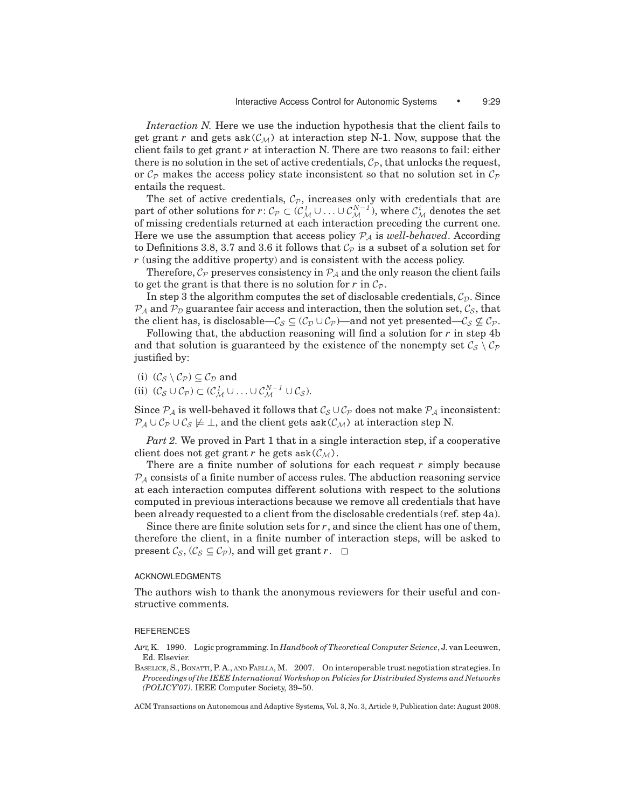*Interaction N.* Here we use the induction hypothesis that the client fails to get grant *r* and gets ask( $C_M$ ) at interaction step N-1. Now, suppose that the client fails to get grant *r* at interaction N. There are two reasons to fail: either there is no solution in the set of active credentials,  $C_p$ , that unlocks the request, or  $\mathcal{C}_{\mathcal{P}}$  makes the access policy state inconsistent so that no solution set in  $\mathcal{C}_{\mathcal{P}}$ entails the request.

The set of active credentials,  $\mathcal{C}_{\mathcal{P}}$ , increases only with credentials that are part of other solutions for  $r: \mathcal{C}_{\mathcal{P}} \subset (\mathcal{C}_{\mathcal{M}}^1 \cup \ldots \cup \mathcal{C}_{\mathcal{M}}^{N-1})$ , where  $\mathcal{C}_{\mathcal{M}}^i$  denotes the set of missing credentials returned at each interaction preceding the current one. Here we use the assumption that access policy  $P_A$  is *well-behaved*. According to Definitions 3.8, 3.7 and 3.6 it follows that  $\mathcal{C}_{\mathcal{P}}$  is a subset of a solution set for *r* (using the additive property) and is consistent with the access policy.

Therefore,  $C_{\mathcal{P}}$  preserves consistency in  $\mathcal{P}_{\mathcal{A}}$  and the only reason the client fails to get the grant is that there is no solution for  $r$  in  $\mathcal{C}_{\mathcal{P}}$ .

In step 3 the algorithm computes the set of disclosable credentials,  $C_{\mathcal{D}}$ . Since  $P_A$  and  $P_D$  guarantee fair access and interaction, then the solution set,  $\mathcal{C}_{\mathcal{S}}$ , that the client has, is disclosable— $\mathcal{C}_{\mathcal{S}} \subseteq (\mathcal{C}_{\mathcal{D}} \cup \mathcal{C}_{\mathcal{P}})$ —and not yet presented— $\mathcal{C}_{\mathcal{S}} \not\subseteq \mathcal{C}_{\mathcal{P}}$ .

Following that, the abduction reasoning will find a solution for *r* in step 4b and that solution is guaranteed by the existence of the nonempty set  $\mathcal{C}_{\mathcal{S}} \setminus \mathcal{C}_{\mathcal{P}}$ justified by:

- (i)  $(\mathcal{C}_{\mathcal{S}} \setminus \mathcal{C}_{\mathcal{P}}) \subseteq \mathcal{C}_{\mathcal{D}}$  and
- (ii)  $(C_S \cup C_P) \subset (C_M^1 \cup ... \cup C_M^{N-1} \cup C_S).$

Since  $P_A$  is well-behaved it follows that  $C_S \cup C_P$  does not make  $P_A$  inconsistent:  $P_A \cup C_P \cup C_S \not\models \bot$ , and the client gets ask( $C_M$ ) at interaction step N.

*Part 2.* We proved in Part 1 that in a single interaction step, if a cooperative client does not get grant *r* he gets ask( $C_M$ ).

There are a finite number of solutions for each request *r* simply because  $P_A$  consists of a finite number of access rules. The abduction reasoning service at each interaction computes different solutions with respect to the solutions computed in previous interactions because we remove all credentials that have been already requested to a client from the disclosable credentials (ref. step 4a).

Since there are finite solution sets for  $r$ , and since the client has one of them, therefore the client, in a finite number of interaction steps, will be asked to present  $\mathcal{C}_{\mathcal{S}}, (\mathcal{C}_{\mathcal{S}} \subseteq \mathcal{C}_{\mathcal{P}})$ , and will get grant  $r$ .  $\Box$ 

## ACKNOWLEDGMENTS

The authors wish to thank the anonymous reviewers for their useful and constructive comments.

#### **REFERENCES**

APT, K. 1990. Logic programming. In *Handbook of Theoretical Computer Science*, J. van Leeuwen, Ed. Elsevier.

BASELICE, S., BONATTI, P. A., AND FAELLA, M. 2007. On interoperable trust negotiation strategies. In *Proceedings of the IEEE International Workshop on Policies for Distributed Systems and Networks (POLICY'07)*. IEEE Computer Society, 39–50.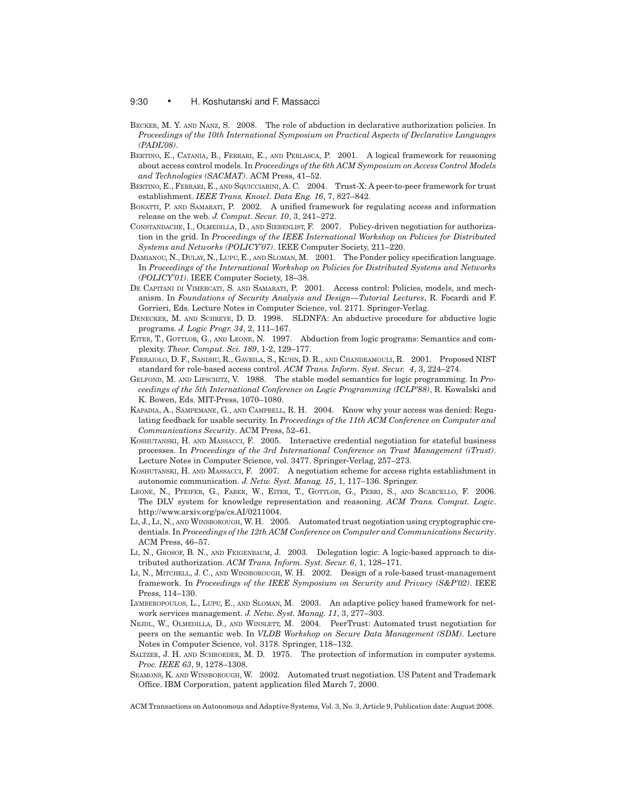#### 9:30 • H. Koshutanski and F. Massacci

- BECKER, M. Y. AND NANZ, S. 2008. The role of abduction in declarative authorization policies. In *Proceedings of the 10th International Symposium on Practical Aspects of Declarative Languages (PADL'08)*.
- BERTINO, E., CATANIA, B., FERRARI, E., AND PERLASCA, P. 2001. A logical framework for reasoning about access control models. In *Proceedings of the 6th ACM Symposium on Access Control Models and Technologies (SACMAT)*. ACM Press, 41–52.
- BERTINO, E., FERRARI, E., AND SQUICCIARINI, A. C. 2004. Trust-X: A peer-to-peer framework for trust establishment. *IEEE Trans. Knowl. Data Eng. 16*, 7, 827–842.
- BONATTI, P. AND SAMARATI, P. 2002. A unified framework for regulating access and information release on the web. *J. Comput. Secur. 10*, 3, 241–272.
- CONSTANDACHE, I., OLMEDILLA, D., AND SIEBENLIST, F. 2007. Policy-driven negotiation for authorization in the grid. In *Proceedings of the IEEE International Workshop on Policies for Distributed Systems and Networks (POLICY'07)*. IEEE Computer Society, 211–220.
- DAMIANOU, N., DULAY, N., LUPU, E., AND SLOMAN, M. 2001. The Ponder policy specification language. In *Proceedings of the International Workshop on Policies for Distributed Systems and Networks (POLICY'01)*. IEEE Computer Society, 18–38.
- DE CAPITANI DI VIMERCATI, S. AND SAMARATI, P. 2001. Access control: Policies, models, and mechanism. In *Foundations of Security Analysis and Design—Tutorial Lectures*, R. Focardi and F. Gorrieri, Eds. Lecture Notes in Computer Science, vol. 2171. Springer-Verlag.
- DENECKER, M. AND SCHREYE, D. D. 1998. SLDNFA: An abductive procedure for abductive logic programs. *J. Logic Progr. 34*, 2, 111–167.
- EITER, T., GOTTLOB, G., AND LEONE, N. 1997. Abduction from logic programs: Semantics and complexity. *Theor. Comput. Sci. 189*, 1-2, 129–177.
- FERRAIOLO, D. F., SANDHU, R., GAVRILA, S., KUHN, D. R., AND CHANDRAMOULI, R. 2001. Proposed NIST standard for role-based access control. *ACM Trans. Inform. Syst. Secur. 4*, 3, 224–274.
- GELFOND, M. AND LIFSCHITZ, V. 1988. The stable model semantics for logic programming. In *Proceedings of the 5th International Conference on Logic Programming (ICLP'88)*, R. Kowalski and K. Bowen, Eds. MIT-Press, 1070–1080.
- KAPADIA, A., SAMPEMANE, G., AND CAMPBELL, R. H. 2004. Know why your access was denied: Regulating feedback for usable security. In *Proceedings of the 11th ACM Conference on Computer and Communications Security*. ACM Press, 52–61.
- KOSHUTANSKI, H. AND MASSACCI, F. 2005. Interactive credential negotiation for stateful business processes. In *Proceedings of the 3rd International Conference on Trust Management (iTrust)*. Lecture Notes in Computer Science, vol. 3477. Springer-Verlag, 257–273.
- KOSHUTANSKI, H. AND MASSACCI, F. 2007. A negotiation scheme for access rights establishment in autonomic communication. *J. Netw. Syst. Manag. 15*, 1, 117–136. Springer.
- LEONE, N., PFEIFER, G., FABER, W., EITER, T., GOTTLOB, G., PERRI, S., AND SCARCELLO, F. 2006. The DLV system for knowledge representation and reasoning. *ACM Trans. Comput. Logic*. http://www.arxiv.org/ps/cs.AI/0211004.
- LI, J., LI, N., AND WINSBOROUGH, W. H. 2005. Automated trust negotiation using cryptographic credentials. In *Proceedings of the 12th ACM Conference on Computer and Communications Security*. ACM Press, 46–57.
- LI, N., GROSOF, B. N., AND FEIGENBAUM, J. 2003. Delegation logic: A logic-based approach to distributed authorization. *ACM Trans. Inform. Syst. Secur. 6*, 1, 128–171.
- LI, N., MITCHELL, J. C., AND WINSBOROUGH, W. H. 2002. Design of a role-based trust-management framework. In *Proceedings of the IEEE Symposium on Security and Privacy (S&P'02)*. IEEE Press, 114–130.
- LYMBEROPOULOS, L., LUPU, E., AND SLOMAN, M. 2003. An adaptive policy based framework for network services management. *J. Netw. Syst. Manag. 11*, 3, 277–303.
- NEJDL, W., OLMEDILLA, D., AND WINSLETT, M. 2004. PeerTrust: Automated trust negotiation for peers on the semantic web. In *VLDB Workshop on Secure Data Management (SDM)*. Lecture Notes in Computer Science, vol. 3178. Springer, 118–132.
- SALTZER, J. H. AND SCHROEDER, M. D. 1975. The protection of information in computer systems. *Proc. IEEE 63*, 9, 1278–1308.
- SEAMONS, K. AND WINSBOROUGH, W. 2002. Automated trust negotiation. US Patent and Trademark Office. IBM Corporation, patent application filed March 7, 2000.